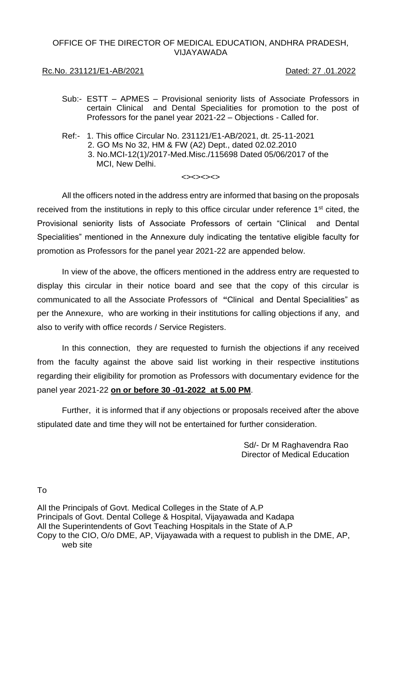# OFFICE OF THE DIRECTOR OF MEDICAL EDUCATION, ANDHRA PRADESH, VIJAYAWADA

# Rc.No. 231121/E1-AB/2021 Dated: 27 .01.2022

- Sub:- ESTT APMES Provisional seniority lists of Associate Professors in certain Clinical and Dental Specialities for promotion to the post of Professors for the panel year 2021-22 – Objections - Called for.
- Ref:- 1. This office Circular No. 231121/E1-AB/2021, dt. 25-11-2021 2. GO Ms No 32, HM & FW (A2) Dept., dated 02.02.2010 3. No.MCI-12(1)/2017-Med.Misc./115698 Dated 05/06/2017 of the MCI, New Delhi.

#### $\left\langle \rightarrow\right\rangle \left\langle \rightarrow\right\rangle \left\langle \rightarrow\right\rangle$

All the officers noted in the address entry are informed that basing on the proposals received from the institutions in reply to this office circular under reference 1<sup>st</sup> cited, the Provisional seniority lists of Associate Professors of certain "Clinical and Dental Specialities" mentioned in the Annexure duly indicating the tentative eligible faculty for promotion as Professors for the panel year 2021-22 are appended below.

In view of the above, the officers mentioned in the address entry are requested to display this circular in their notice board and see that the copy of this circular is communicated to all the Associate Professors of **"**Clinical and Dental Specialities" as per the Annexure, who are working in their institutions for calling objections if any, and also to verify with office records / Service Registers.

In this connection, they are requested to furnish the objections if any received from the faculty against the above said list working in their respective institutions regarding their eligibility for promotion as Professors with documentary evidence for the panel year 2021-22 **on or before 30 -01-2022 at 5.00 PM**.

Further, it is informed that if any objections or proposals received after the above stipulated date and time they will not be entertained for further consideration.

> Sd/- Dr M Raghavendra Rao Director of Medical Education

To

All the Principals of Govt. Medical Colleges in the State of A.P Principals of Govt. Dental College & Hospital, Vijayawada and Kadapa All the Superintendents of Govt Teaching Hospitals in the State of A.P Copy to the CIO, O/o DME, AP, Vijayawada with a request to publish in the DME, AP, web site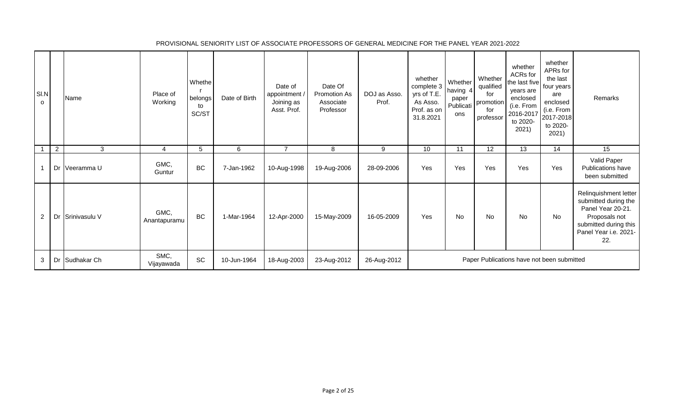| SI.N<br>0             |                | Name           | Place of<br>Working  | Whethe<br>belongs<br>to<br>SC/ST | Date of Birth | Date of<br>appointment<br>Joining as<br>Asst. Prof. | Date Of<br><b>Promotion As</b><br>Associate<br>Professor | DOJ as Asso.<br>Prof. | whether<br>complete 3<br>yrs of T.E.<br>As Asso.<br>Prof. as on<br>31.8.2021 | Whether<br>having 4<br>paper<br>Publicati<br>ons | Whether<br>qualified<br>for<br>promotion<br>for<br>professor | whether<br>ACRs for<br>the last five<br>years are<br>enclosed<br>(i.e. From<br>2016-2017<br>to 2020-<br>2021) | whether<br>APRs for<br>the last<br>four years!<br>are<br>enclosed<br>(i.e. From<br>2017-2018<br>to 2020-<br>2021) | Remarks                                                                                                                                      |
|-----------------------|----------------|----------------|----------------------|----------------------------------|---------------|-----------------------------------------------------|----------------------------------------------------------|-----------------------|------------------------------------------------------------------------------|--------------------------------------------------|--------------------------------------------------------------|---------------------------------------------------------------------------------------------------------------|-------------------------------------------------------------------------------------------------------------------|----------------------------------------------------------------------------------------------------------------------------------------------|
|                       | $\overline{2}$ | 3              | 4                    | 5                                | 6             | $\overline{7}$                                      | 8                                                        | 9                     | 10                                                                           | 11                                               | 12                                                           | 13                                                                                                            | 14                                                                                                                | 15                                                                                                                                           |
|                       | Dr             | Veeramma U     | GMC,<br>Guntur       | <b>BC</b>                        | 7-Jan-1962    | 10-Aug-1998                                         | 19-Aug-2006                                              | 28-09-2006            | Yes                                                                          | Yes                                              | Yes                                                          | Yes                                                                                                           | Yes                                                                                                               | Valid Paper<br>Publications have<br>been submitted                                                                                           |
| $\mathbf{2}^{\prime}$ | $\cdot$ Dr     | Srinivasulu V  | GMC,<br>Anantapuramu | <b>BC</b>                        | 1-Mar-1964    | 12-Apr-2000                                         | 15-May-2009                                              | 16-05-2009            | Yes                                                                          | No                                               | <b>No</b>                                                    | <b>No</b>                                                                                                     | <b>No</b>                                                                                                         | Relinquishment letter<br>submitted during the<br>Panel Year 20-21.<br>Proposals not<br>submitted during this<br>Panel Year i.e. 2021-<br>22. |
| 3                     |                | Dr Sudhakar Ch | SMC,<br>Vijayawada   | <b>SC</b>                        | 10-Jun-1964   | 18-Aug-2003                                         | 23-Aug-2012                                              | 26-Aug-2012           |                                                                              |                                                  |                                                              | Paper Publications have not been submitted                                                                    |                                                                                                                   |                                                                                                                                              |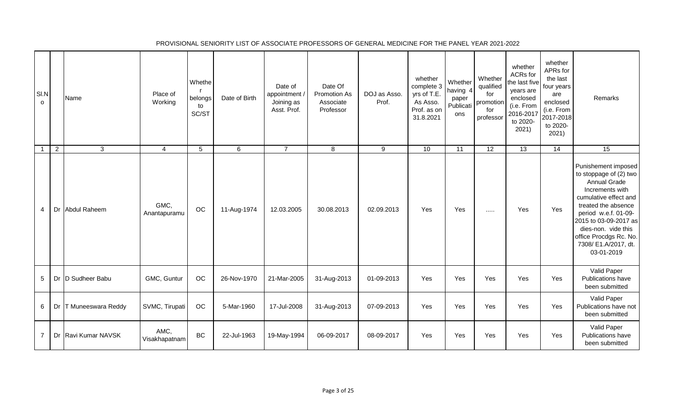| SI.N<br>$\circ$ |                | Name                | Place of<br>Working   | Whethe<br>belongs<br>to<br>SC/ST | Date of Birth | Date of<br>appointment /<br>Joining as<br>Asst. Prof. | Date Of<br>Promotion As<br>Associate<br>Professor | DOJ as Asso.<br>Prof. | whether<br>complete 3<br>yrs of T.E.<br>As Asso.<br>Prof. as on<br>31.8.2021 | Whether<br>having 4<br>paper<br>Publicati<br>ons | Whether<br>qualified<br>for<br>promotion<br>for<br>professor | whether<br>ACRs for<br>the last five<br>years are<br>enclosed<br>(i.e. From<br>2016-2017<br>to 2020-<br>2021) | whether<br>APRs for<br>the last<br>four years<br>are<br>enclosed<br>(i.e. From<br>2017-2018<br>to 2020-<br>2021) | Remarks                                                                                                                                                                                                                                                                         |
|-----------------|----------------|---------------------|-----------------------|----------------------------------|---------------|-------------------------------------------------------|---------------------------------------------------|-----------------------|------------------------------------------------------------------------------|--------------------------------------------------|--------------------------------------------------------------|---------------------------------------------------------------------------------------------------------------|------------------------------------------------------------------------------------------------------------------|---------------------------------------------------------------------------------------------------------------------------------------------------------------------------------------------------------------------------------------------------------------------------------|
|                 | $\overline{2}$ | 3                   | $\overline{4}$        | 5                                | 6             | $\overline{7}$                                        | 8                                                 | 9                     | 10                                                                           | 11                                               | 12                                                           | 13                                                                                                            | 14                                                                                                               | 15                                                                                                                                                                                                                                                                              |
| 4               |                | Dr Abdul Raheem     | GMC,<br>Anantapuramu  | OC                               | 11-Aug-1974   | 12.03.2005                                            | 30.08.2013                                        | 02.09.2013            | Yes                                                                          | Yes                                              | $\cdots$                                                     | Yes                                                                                                           | Yes                                                                                                              | Punishement imposed<br>to stoppage of (2) two<br><b>Annual Grade</b><br>Increments with<br>cumulative effect and<br>treated the absence<br>period w.e.f. 01-09-<br>2015 to 03-09-2017 as<br>dies-non. vide this<br>office Procdgs Rc. No.<br>7308/ E1.A/2017, dt.<br>03-01-2019 |
| 5               |                | Dr D Sudheer Babu   | GMC, Guntur           | OC                               | 26-Nov-1970   | 21-Mar-2005                                           | 31-Aug-2013                                       | 01-09-2013            | Yes                                                                          | Yes                                              | Yes                                                          | Yes                                                                                                           | Yes                                                                                                              | Valid Paper<br>Publications have<br>been submitted                                                                                                                                                                                                                              |
| 6               | Dr             | T Muneeswara Reddy  | SVMC, Tirupati        | OC                               | 5-Mar-1960    | 17-Jul-2008                                           | 31-Aug-2013                                       | 07-09-2013            | Yes                                                                          | Yes                                              | Yes                                                          | Yes                                                                                                           | Yes                                                                                                              | Valid Paper<br>Publications have not<br>been submitted                                                                                                                                                                                                                          |
| $\overline{7}$  |                | Dr Ravi Kumar NAVSK | AMC,<br>Visakhapatnam | BC                               | 22-Jul-1963   | 19-May-1994                                           | 06-09-2017                                        | 08-09-2017            | Yes                                                                          | Yes                                              | Yes                                                          | Yes                                                                                                           | Yes                                                                                                              | Valid Paper<br>Publications have<br>been submitted                                                                                                                                                                                                                              |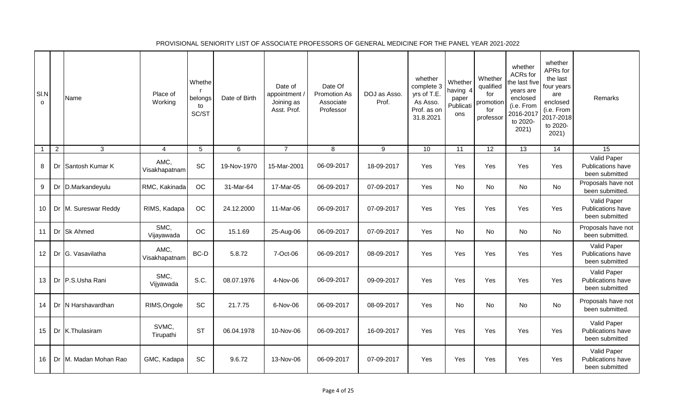| SI.N<br>$\Omega$        |                | Name                  | Place of<br>Working   | Whethe<br>belongs<br>to<br>SC/ST | Date of Birth | Date of<br>appointment<br>Joining as<br>Asst. Prof. | Date Of<br><b>Promotion As</b><br>Associate<br>Professor | DOJ as Asso.<br>Prof. | whether<br>complete 3<br>yrs of T.E.<br>As Asso.<br>Prof. as on<br>31.8.2021 | Whether<br>having 4<br>paper<br>Publicati<br>ons | Whether<br>qualified<br>for<br>promotion<br>for<br>professor | whether<br>ACRs for<br>the last five<br>years are<br>enclosed<br>(i.e. From<br>2016-2017<br>to 2020-<br>2021) | whether<br>APRs for<br>the last<br>four years<br>are<br>enclosed<br>(i.e. From<br>2017-2018<br>to 2020-<br>2021) | Remarks                                                   |
|-------------------------|----------------|-----------------------|-----------------------|----------------------------------|---------------|-----------------------------------------------------|----------------------------------------------------------|-----------------------|------------------------------------------------------------------------------|--------------------------------------------------|--------------------------------------------------------------|---------------------------------------------------------------------------------------------------------------|------------------------------------------------------------------------------------------------------------------|-----------------------------------------------------------|
| $\overline{\mathbf{1}}$ | $\overline{2}$ | 3                     | $\overline{4}$        | 5                                | $\,6$         | $\overline{7}$                                      | 8                                                        | 9                     | 10                                                                           | 11                                               | 12                                                           | 13                                                                                                            | 14                                                                                                               | 15                                                        |
| 8                       |                | Dr Santosh Kumar K    | AMC,<br>Visakhapatnam | SC                               | 19-Nov-1970   | 15-Mar-2001                                         | 06-09-2017                                               | 18-09-2017            | Yes                                                                          | Yes                                              | Yes                                                          | Yes                                                                                                           | Yes                                                                                                              | Valid Paper<br>Publications have<br>been submitted        |
| 9                       |                | Dr D.Markandeyulu     | RMC, Kakinada         | OC                               | 31-Mar-64     | 17-Mar-05                                           | 06-09-2017                                               | 07-09-2017            | Yes                                                                          | <b>No</b>                                        | <b>No</b>                                                    | <b>No</b>                                                                                                     | <b>No</b>                                                                                                        | Proposals have not<br>been submitted                      |
| 10                      |                | Dr M. Sureswar Reddy  | RIMS, Kadapa          | $_{\rm OC}$                      | 24.12.2000    | 11-Mar-06                                           | 06-09-2017                                               | 07-09-2017            | Yes                                                                          | Yes                                              | Yes                                                          | Yes                                                                                                           | Yes                                                                                                              | Valid Paper<br><b>Publications have</b><br>been submitted |
| 11                      |                | Dr Sk Ahmed           | SMC,<br>Vijayawada    | OC                               | 15.1.69       | 25-Aug-06                                           | 06-09-2017                                               | 07-09-2017            | <b>Yes</b>                                                                   | <b>No</b>                                        | <b>No</b>                                                    | No                                                                                                            | <b>No</b>                                                                                                        | Proposals have not<br>been submitted.                     |
| 12                      |                | Dr G. Vasavilatha     | AMC,<br>Visakhapatnam | BC-D                             | 5.8.72        | 7-Oct-06                                            | 06-09-2017                                               | 08-09-2017            | Yes                                                                          | Yes                                              | Yes                                                          | Yes                                                                                                           | Yes                                                                                                              | Valid Paper<br>Publications have<br>been submitted        |
| 13                      |                | Dr P.S.Usha Rani      | SMC,<br>Vijyawada     | S.C.                             | 08.07.1976    | 4-Nov-06                                            | 06-09-2017                                               | 09-09-2017            | Yes                                                                          | Yes                                              | Yes                                                          | Yes                                                                                                           | Yes                                                                                                              | Valid Paper<br>Publications have<br>been submitted        |
| 14                      |                | Dr N Harshavardhan    | RIMS, Ongole          | <b>SC</b>                        | 21.7.75       | 6-Nov-06                                            | 06-09-2017                                               | 08-09-2017            | Yes                                                                          | <b>No</b>                                        | No                                                           | <b>No</b>                                                                                                     | <b>No</b>                                                                                                        | Proposals have not<br>been submitted.                     |
| 15                      |                | Dr K.Thulasiram       | SVMC,<br>Tirupathi    | <b>ST</b>                        | 06.04.1978    | 10-Nov-06                                           | 06-09-2017                                               | 16-09-2017            | Yes                                                                          | Yes                                              | Yes                                                          | Yes                                                                                                           | Yes                                                                                                              | Valid Paper<br>Publications have<br>been submitted        |
| 16                      |                | Dr M. Madan Mohan Rao | GMC, Kadapa           | <b>SC</b>                        | 9.6.72        | 13-Nov-06                                           | 06-09-2017                                               | 07-09-2017            | Yes                                                                          | Yes                                              | Yes                                                          | Yes                                                                                                           | Yes                                                                                                              | Valid Paper<br>Publications have<br>been submitted        |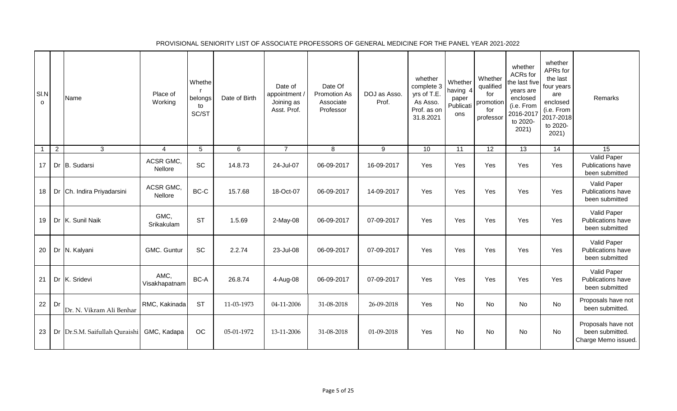| SI.N<br>$\Omega$ |                | Name                                      | Place of<br>Working   | Whethe<br>belongs<br>to<br>SC/ST | Date of Birth | Date of<br>appointment /<br>Joining as<br>Asst. Prof. | Date Of<br>Promotion As<br>Associate<br>Professor | DOJ as Asso.<br>Prof. | whether<br>complete 3<br>yrs of T.E.<br>As Asso.<br>Prof. as on<br>31.8.2021 | Whether<br>having 4<br>paper<br>Publicati<br>ons | Whether<br>qualified<br>for<br>promotion<br>for<br>professor | whether<br><b>ACRs</b> for<br>the last five<br>years are<br>enclosed<br>(i.e. From<br>2016-2017<br>to 2020-<br>2021) | whether<br>APRs for<br>the last<br>four years<br>are<br>enclosed<br>(i.e. From<br>2017-2018<br>to 2020-<br>2021) | Remarks                                                      |
|------------------|----------------|-------------------------------------------|-----------------------|----------------------------------|---------------|-------------------------------------------------------|---------------------------------------------------|-----------------------|------------------------------------------------------------------------------|--------------------------------------------------|--------------------------------------------------------------|----------------------------------------------------------------------------------------------------------------------|------------------------------------------------------------------------------------------------------------------|--------------------------------------------------------------|
| $\overline{1}$   | $\overline{2}$ | $\mathbf{3}$                              | $\overline{4}$        | 5                                | 6             | $\overline{7}$                                        | 8                                                 | 9                     | 10                                                                           | 11                                               | $\overline{12}$                                              | $\overline{13}$                                                                                                      | 14                                                                                                               | $\overline{15}$                                              |
| 17               |                | Dr B. Sudarsi                             | ACSR GMC,<br>Nellore  | SC                               | 14.8.73       | 24-Jul-07                                             | 06-09-2017                                        | 16-09-2017            | Yes                                                                          | Yes                                              | Yes                                                          | Yes                                                                                                                  | Yes                                                                                                              | Valid Paper<br>Publications have<br>been submitted           |
| 18               |                | Dr Ch. Indira Priyadarsini                | ACSR GMC,<br>Nellore  | BC-C                             | 15.7.68       | 18-Oct-07                                             | 06-09-2017                                        | 14-09-2017            | Yes                                                                          | Yes                                              | Yes                                                          | Yes                                                                                                                  | Yes                                                                                                              | Valid Paper<br>Publications have<br>been submitted           |
| 19               |                | Dr K. Sunil Naik                          | GMC,<br>Srikakulam    | <b>ST</b>                        | 1.5.69        | $2-May-08$                                            | 06-09-2017                                        | 07-09-2017            | Yes                                                                          | Yes                                              | Yes                                                          | Yes                                                                                                                  | Yes                                                                                                              | Valid Paper<br>Publications have<br>been submitted           |
| 20               |                | Dr N. Kalyani                             | GMC. Guntur           | SC                               | 2.2.74        | 23-Jul-08                                             | 06-09-2017                                        | 07-09-2017            | Yes                                                                          | Yes                                              | Yes                                                          | Yes                                                                                                                  | Yes                                                                                                              | Valid Paper<br>Publications have<br>been submitted           |
| 21               |                | Dr K. Sridevi                             | AMC,<br>Visakhapatnam | BC-A                             | 26.8.74       | 4-Aug-08                                              | 06-09-2017                                        | 07-09-2017            | Yes                                                                          | Yes                                              | Yes                                                          | Yes                                                                                                                  | Yes                                                                                                              | Valid Paper<br><b>Publications have</b><br>been submitted    |
| 22               | Dr             | Dr. N. Vikram Ali Benhar                  | RMC, Kakinada         | <b>ST</b>                        | 11-03-1973    | 04-11-2006                                            | 31-08-2018                                        | 26-09-2018            | Yes                                                                          | No                                               | No                                                           | <b>No</b>                                                                                                            | No                                                                                                               | Proposals have not<br>been submitted                         |
| 23               |                | Dr Dr.S.M. Saifullah Quraishi GMC, Kadapa |                       | OC                               | 05-01-1972    | 13-11-2006                                            | 31-08-2018                                        | 01-09-2018            | Yes                                                                          | No                                               | No                                                           | No                                                                                                                   | No                                                                                                               | Proposals have not<br>been submitted.<br>Charge Memo issued. |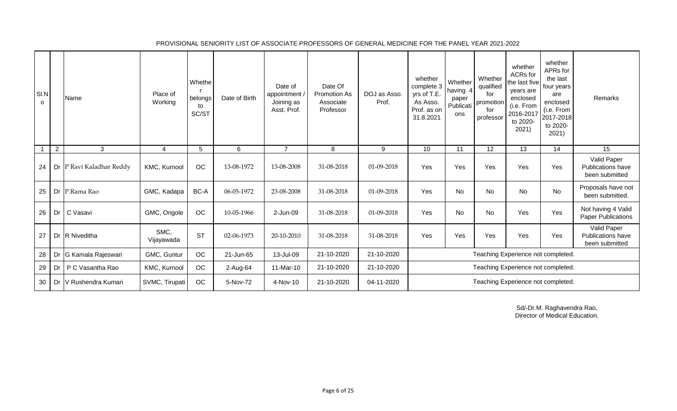| SI.N<br>0 |    | Name                     | Place of<br>Working | Whethe<br>belongs<br>to<br>SC/ST | Date of Birth | Date of<br>appointment<br>Joining as<br>Asst. Prof. | Date Of<br>Promotion As<br>Associate<br>Professor | DOJ as Asso.<br>Prof. | whether<br>complete 3<br>yrs of T.E.<br>As Asso.<br>Prof. as on<br>31.8.2021 | Whether<br>having 4<br>paper<br>Publicati<br>ons | Whether<br>qualified<br>for<br>promotion<br>for<br>professor | whether<br>ACRs for<br>the last five<br>years are<br>enclosed<br>(i.e. From<br>2016-2017<br>to 2020-<br>2021) | whether<br>APRs for<br>the last<br>four years<br>are<br>enclosed<br>(i.e. From<br>2017-2018<br>to 2020-<br>2021) | Remarks                                                   |
|-----------|----|--------------------------|---------------------|----------------------------------|---------------|-----------------------------------------------------|---------------------------------------------------|-----------------------|------------------------------------------------------------------------------|--------------------------------------------------|--------------------------------------------------------------|---------------------------------------------------------------------------------------------------------------|------------------------------------------------------------------------------------------------------------------|-----------------------------------------------------------|
|           | 2  | $\mathbf{3}$             | 4                   | 5                                | 6             | $\overline{7}$                                      | 8                                                 | 9                     | 10                                                                           | 11                                               | 12                                                           | 13                                                                                                            | 14                                                                                                               | 15                                                        |
| 24        |    | Dr P Ravi Kaladhar Reddy | KMC, Kurnool        | OC                               | 13-08-1972    | 13-08-2008                                          | 31-08-2018                                        | 01-09-2018            | Yes                                                                          | Yes                                              | Yes                                                          | Yes                                                                                                           | Yes                                                                                                              | Valid Paper<br><b>Publications have</b><br>been submitted |
| 25        |    | Dr P.Rama Rao            | GMC, Kadapa         | BC-A                             | 06-05-1972    | 23-08-2008                                          | 31-08-2018                                        | 01-09-2018            | Yes                                                                          | <b>No</b>                                        | No                                                           | <b>No</b>                                                                                                     | <b>No</b>                                                                                                        | Proposals have not<br>been submitted.                     |
| 26        | Dr | C Vasavi                 | GMC, Ongole         | OC                               | 10-05-1966    | 2-Jun-09                                            | 31-08-2018                                        | 01-09-2018            | Yes                                                                          | No                                               | No                                                           | Yes                                                                                                           | Yes                                                                                                              | Not having 4 Valid<br><b>Paper Publications</b>           |
| 27        |    | Dr R Niveditha           | SMC,<br>Vijayawada  | <b>ST</b>                        | 02-06-1973    | 20-10-2010                                          | 31-08-2018                                        | 31-08-2018            | Yes                                                                          | Yes                                              | Yes                                                          | Yes                                                                                                           | Yes                                                                                                              | Valid Paper<br>Publications have<br>been submitted        |
| 28        | Dr | G Kamala Rajeswari       | GMC, Guntur         | OC                               | 21-Jun-65     | 13-Jul-09                                           | 21-10-2020                                        | 21-10-2020            |                                                                              |                                                  |                                                              | Teaching Experience not completed.                                                                            |                                                                                                                  |                                                           |
| 29        | Dr | P C Vasantha Rao         | KMC, Kurnool        | OC                               | 2-Aug-64      | 11-Mar-10                                           | 21-10-2020                                        | 21-10-2020            |                                                                              |                                                  |                                                              | Teaching Experience not completed.                                                                            |                                                                                                                  |                                                           |
| 30        | Dr | V Rushendra Kumari       | SVMC, Tirupati      | OC                               | 5-Nov-72      | 4-Nov-10                                            | 21-10-2020                                        | 04-11-2020            |                                                                              |                                                  |                                                              | Teaching Experience not completed.                                                                            |                                                                                                                  |                                                           |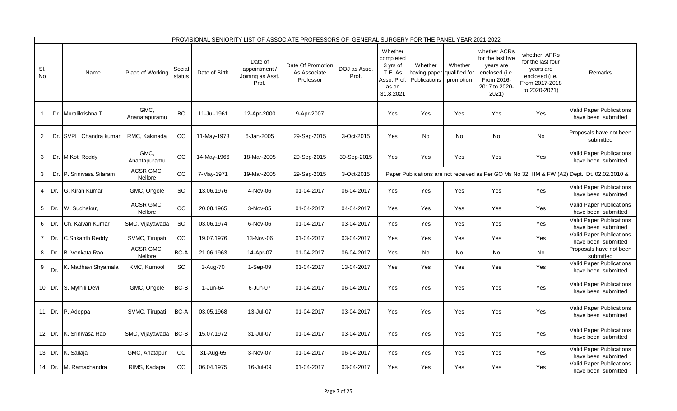|                |         |                          |                       |                  |               |                                                       | PROVISIONAL SENIORITY LIST OF ASSOCIATE PROFESSORS OF GENERAL SURGERY FOR THE PANEL YEAR 2021-2022 |                       |                                                                                 |                                         |                                       |                                                                                                          |                                                                                                     |                                                                                              |
|----------------|---------|--------------------------|-----------------------|------------------|---------------|-------------------------------------------------------|----------------------------------------------------------------------------------------------------|-----------------------|---------------------------------------------------------------------------------|-----------------------------------------|---------------------------------------|----------------------------------------------------------------------------------------------------------|-----------------------------------------------------------------------------------------------------|----------------------------------------------------------------------------------------------|
| SI.<br>No      |         | Name                     | Place of Working      | Social<br>status | Date of Birth | Date of<br>appointment /<br>Joining as Asst.<br>Prof. | Date Of Promotion<br>As Associate<br>Professor                                                     | DOJ as Asso.<br>Prof. | Whether<br>completed<br>3 yrs of<br>T.E. As<br>Asso. Prof<br>as on<br>31.8.2021 | Whether<br>having paper<br>Publications | Whether<br>qualified for<br>promotion | whether ACRs<br>for the last five<br>years are<br>enclosed (i.e.<br>From 2016-<br>2017 to 2020-<br>2021) | whether APRs<br>for the last four<br>years are<br>enclosed (i.e.<br>From 2017-2018<br>to 2020-2021) | Remarks                                                                                      |
| $\mathbf{1}$   |         | Dr. Muralikrishna T      | GMC,<br>Ananatapuramu | <b>BC</b>        | 11-Jul-1961   | 12-Apr-2000                                           | 9-Apr-2007                                                                                         |                       | Yes                                                                             | Yes                                     | Yes                                   | Yes                                                                                                      | Yes                                                                                                 | Valid Paper Publications<br>have been submitted                                              |
| $\overline{2}$ |         | Dr. SVPL. Chandra kumar  | RMC, Kakinada         | <b>OC</b>        | 11-May-1973   | 6-Jan-2005                                            | 29-Sep-2015                                                                                        | 3-Oct-2015            | Yes                                                                             | No                                      | <b>No</b>                             | No                                                                                                       | No                                                                                                  | Proposals have not been<br>submitted                                                         |
| 3              |         | Dr. M Koti Reddy         | GMC.<br>Anantapuramu  | <b>OC</b>        | 14-May-1966   | 18-Mar-2005                                           | 29-Sep-2015                                                                                        | 30-Sep-2015           | Yes                                                                             | Yes                                     | Yes                                   | Yes                                                                                                      | Yes                                                                                                 | Valid Paper Publications<br>have been submitted                                              |
| 3              |         | Dr. P. Srinivasa Sitaram | ACSR GMC.<br>Nellore  | OC               | 7-May-1971    | 19-Mar-2005                                           | 29-Sep-2015                                                                                        | 3-Oct-2015            |                                                                                 |                                         |                                       |                                                                                                          |                                                                                                     | Paper Publications are not received as Per GO Ms No 32, HM & FW (A2) Dept., Dt. 02.02.2010 & |
| $\overline{4}$ | Dr.     | G. Kiran Kumar           | GMC, Ongole           | SC               | 13.06.1976    | 4-Nov-06                                              | 01-04-2017                                                                                         | 06-04-2017            | Yes                                                                             | Yes                                     | Yes                                   | Yes                                                                                                      | Yes                                                                                                 | Valid Paper Publications<br>have been submitted                                              |
| 5              | Dr.     | W. Sudhakar,             | ACSR GMC.<br>Nellore  | OC               | 20.08.1965    | 3-Nov-05                                              | 01-04-2017                                                                                         | 04-04-2017            | Yes                                                                             | Yes                                     | Yes                                   | Yes                                                                                                      | Yes                                                                                                 | Valid Paper Publications<br>have been submitted                                              |
| 6              | Dr.     | Ch. Kalyan Kumar         | SMC, Vijayawada       | SC               | 03.06.1974    | 6-Nov-06                                              | 01-04-2017                                                                                         | 03-04-2017            | Yes                                                                             | Yes                                     | Yes                                   | Yes                                                                                                      | Yes                                                                                                 | Valid Paper Publications<br>have been submitted                                              |
| $\overline{7}$ | Dr.     | C.Srikanth Reddy         | SVMC, Tirupati        | OC               | 19.07.1976    | 13-Nov-06                                             | 01-04-2017                                                                                         | 03-04-2017            | Yes                                                                             | Yes                                     | Yes                                   | Yes                                                                                                      | Yes                                                                                                 | <b>Valid Paper Publications</b><br>have been submitted                                       |
| 8              | Dr.     | B. Venkata Rao           | ACSR GMC.<br>Nellore  | BC-A             | 21.06.1963    | 14-Apr-07                                             | 01-04-2017                                                                                         | 06-04-2017            | Yes                                                                             | <b>No</b>                               | <b>No</b>                             | <b>No</b>                                                                                                | No                                                                                                  | Proposals have not been<br>submitted                                                         |
| $9\,$          | Dr.     | K. Madhavi Shyamala      | KMC, Kurnool          | SC               | 3-Aug-70      | $1-Sep-09$                                            | 01-04-2017                                                                                         | 13-04-2017            | Yes                                                                             | Yes                                     | Yes                                   | Yes                                                                                                      | Yes                                                                                                 | <b>Valid Paper Publications</b><br>have been submitted                                       |
|                |         | 10 Dr. S. Mythili Devi   | GMC, Ongole           | $BC-B$           | 1-Jun-64      | 6-Jun-07                                              | 01-04-2017                                                                                         | 06-04-2017            | Yes                                                                             | Yes                                     | Yes                                   | Yes                                                                                                      | Yes                                                                                                 | <b>Valid Paper Publications</b><br>have been submitted                                       |
| 11             |         | Dr. P. Adeppa            | SVMC, Tirupati        | BC-A             | 03.05.1968    | 13-Jul-07                                             | 01-04-2017                                                                                         | 03-04-2017            | Yes                                                                             | Yes                                     | Yes                                   | Yes                                                                                                      | Yes                                                                                                 | Valid Paper Publications<br>have been submitted                                              |
|                | 12 IDr. | K. Srinivasa Rao         | SMC, Vijayawada       | BC-B             | 15.07.1972    | 31-Jul-07                                             | 01-04-2017                                                                                         | 03-04-2017            | Yes                                                                             | Yes                                     | Yes                                   | Yes                                                                                                      | Yes                                                                                                 | <b>Valid Paper Publications</b><br>have been submitted                                       |
| 13             | Dr.     | K. Sailaja               | GMC, Anatapur         | OC               | 31-Aug-65     | 3-Nov-07                                              | 01-04-2017                                                                                         | 06-04-2017            | Yes                                                                             | Yes                                     | Yes                                   | Yes                                                                                                      | Yes                                                                                                 | Valid Paper Publications<br>have been submitted                                              |
| 14             | Dr.     | M. Ramachandra           | RIMS, Kadapa          | OC               | 06.04.1975    | 16-Jul-09                                             | 01-04-2017                                                                                         | 03-04-2017            | Yes                                                                             | Yes                                     | Yes                                   | Yes                                                                                                      | Yes                                                                                                 | Valid Paper Publications<br>have been submitted                                              |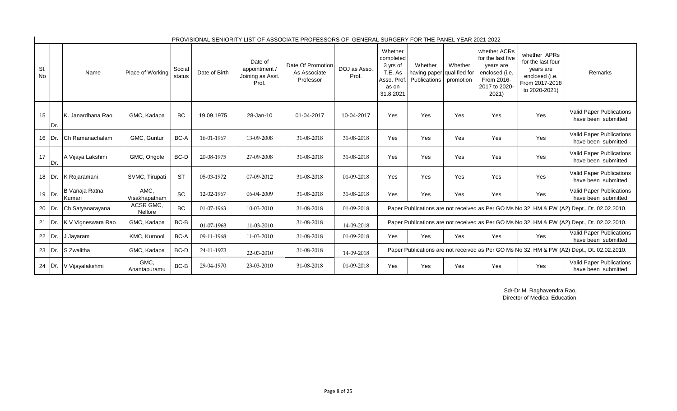| SI.<br>No |          | Name                     | Place of Working      | Social<br>status | Date of Birth | Date of<br>appointment /<br>Joining as Asst.<br>Prof. | Date Of Promotion<br>As Associate<br>Professor | DOJ as Asso.<br>Prof. | Whether<br>completed<br>3 yrs of<br>T.E. As<br>Asso. Prof<br>as on<br>31.8.2021 | Whether<br>having paper qualified for<br>Publications | Whether<br>promotion | whether ACRs<br>for the last five<br>years are<br>enclosed (i.e.<br>From 2016-<br>2017 to 2020-<br>2021) | whether APRs<br>for the last four<br>years are<br>enclosed (i.e.<br>From 2017-2018<br>to 2020-2021) | Remarks                                                                                     |
|-----------|----------|--------------------------|-----------------------|------------------|---------------|-------------------------------------------------------|------------------------------------------------|-----------------------|---------------------------------------------------------------------------------|-------------------------------------------------------|----------------------|----------------------------------------------------------------------------------------------------------|-----------------------------------------------------------------------------------------------------|---------------------------------------------------------------------------------------------|
| 15        | IDr.     | IK. Janardhana Rao       | GMC, Kadapa           | <b>BC</b>        | 19.09.1975    | 28-Jan-10                                             | 01-04-2017                                     | 10-04-2017            | Yes                                                                             | Yes                                                   | Yes                  | Yes                                                                                                      | Yes                                                                                                 | <b>Valid Paper Publications</b><br>have been submitted                                      |
| 16        | IDr.     | Ch Ramanachalam          | GMC, Guntur           | BC-A             | 16-01-1967    | 13-09-2008                                            | 31-08-2018                                     | 31-08-2018            | Yes                                                                             | Yes                                                   | Yes                  | Yes                                                                                                      | Yes                                                                                                 | Valid Paper Publications<br>have been submitted                                             |
| 17        | IDr.     | A Vijaya Lakshmi         | GMC, Ongole           | BC-D             | 20-08-1975    | 27-09-2008                                            | 31-08-2018                                     | 31-08-2018            | Yes                                                                             | Yes                                                   | Yes                  | Yes                                                                                                      | Yes                                                                                                 | Valid Paper Publications<br>have been submitted                                             |
|           | 18   Dr. | K Rojaramani             | SVMC, Tirupati        | <b>ST</b>        | 05-03-1972    | 07-09-2012                                            | 31-08-2018                                     | 01-09-2018            | Yes                                                                             | Yes                                                   | Yes                  | Yes                                                                                                      | Yes                                                                                                 | <b>Valid Paper Publications</b><br>have been submitted                                      |
| 19 Dr.    |          | B Vanaja Ratna<br>Kumari | AMC,<br>Visakhapatnam | SC               | 12-02-1967    | 06-04-2009                                            | 31-08-2018                                     | 31-08-2018            | Yes                                                                             | Yes                                                   | Yes                  | Yes                                                                                                      | Yes                                                                                                 | Valid Paper Publications<br>have been submitted                                             |
| 20 Dr.    |          | Ch Satyanarayana         | ACSR GMC,<br>Nellore  | BC               | 01-07-1963    | 10-03-2010                                            | 31-08-2018                                     | 01-09-2018            |                                                                                 |                                                       |                      |                                                                                                          |                                                                                                     | Paper Publications are not received as Per GO Ms No 32, HM & FW (A2) Dept., Dt. 02.02.2010. |
| 21        | Dr.      | K V Vigneswara Rao       | GMC, Kadapa           | BC-B             | 01-07-1963    | 11-03-2010                                            | 31-08-2018                                     | 14-09-2018            |                                                                                 |                                                       |                      |                                                                                                          |                                                                                                     | Paper Publications are not received as Per GO Ms No 32, HM & FW (A2) Dept., Dt. 02.02.2010. |
| 22 Dr.    |          | J Jayaram                | KMC, Kurnool          | BC-A             | 09-11-1968    | 11-03-2010                                            | 31-08-2018                                     | 01-09-2018            | Yes                                                                             | Yes                                                   | Yes                  | Yes                                                                                                      | Yes                                                                                                 | Valid Paper Publications<br>have been submitted                                             |
| 23        | IDr.     | S Zwalitha               | GMC, Kadapa           | BC-D             | 24-11-1973    | 22-03-2010                                            | 31-08-2018                                     | 14-09-2018            |                                                                                 |                                                       |                      |                                                                                                          |                                                                                                     | Paper Publications are not received as Per GO Ms No 32, HM & FW (A2) Dept., Dt. 02.02.2010. |
| 24        | IDr.     | V Vijayalakshmi          | GMC,<br>Anantapuramu  | $BC-B$           | 29-04-1970    | 23-03-2010                                            | 31-08-2018                                     | 01-09-2018            | Yes                                                                             | Yes                                                   | Yes                  | Yes                                                                                                      | Yes                                                                                                 | <b>Valid Paper Publications</b><br>have been submitted                                      |

 $\blacksquare$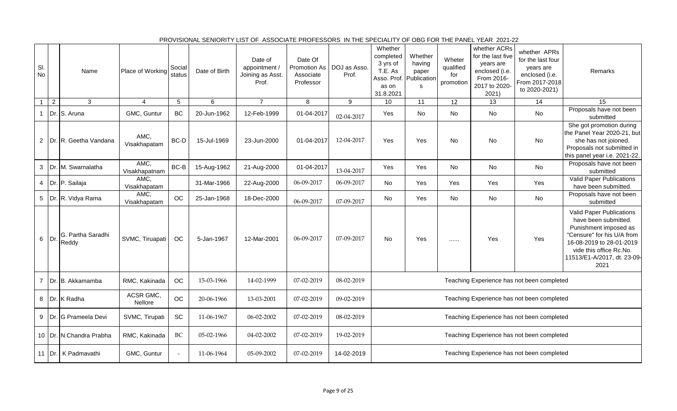| SI.<br>No               |                | Name                       | Place of Working            | Social<br>status | Date of Birth | Date of<br>appointment /<br>Joining as Asst.<br>Prof. | Date Of<br>Promotion As<br>Associate<br>Professor | DOJ as Asso.<br>Prof. | Whether<br>completed<br>3 yrs of<br>T.E. As<br>Asso. Prof. Publication<br>as on<br>31.8.2021 | Whether<br>having<br>paper<br>s | Wheter<br>qualified<br>for<br>promotion | whether ACRs<br>for the last five<br>years are<br>enclosed (i.e.<br>From 2016-<br>2017 to 2020-<br>2021) | whether APRs<br>for the last four<br>years are<br>enclosed (i.e.<br>From 2017-2018<br>to 2020-2021) | Remarks                                                                                                                                                                                               |
|-------------------------|----------------|----------------------------|-----------------------------|------------------|---------------|-------------------------------------------------------|---------------------------------------------------|-----------------------|----------------------------------------------------------------------------------------------|---------------------------------|-----------------------------------------|----------------------------------------------------------------------------------------------------------|-----------------------------------------------------------------------------------------------------|-------------------------------------------------------------------------------------------------------------------------------------------------------------------------------------------------------|
| $\mathbf{1}$            | $\overline{2}$ | 3                          | $\overline{4}$              | $\sqrt{5}$       | 6             | $\overline{7}$                                        | 8                                                 | 9                     | 10                                                                                           | 11                              | 12                                      | $\overline{13}$                                                                                          | $\overline{14}$                                                                                     | 15                                                                                                                                                                                                    |
|                         |                | Dr. S. Aruna               | GMC, Guntur                 | <b>BC</b>        | 20-Jun-1962   | 12-Feb-1999                                           | 01-04-2017                                        | 02-04-2017            | Yes                                                                                          | No                              | No                                      | No                                                                                                       | No                                                                                                  | Proposals have not been<br>submitted                                                                                                                                                                  |
|                         |                | 2   Dr. R. Geetha Vandana  | AMC,<br>Visakhapatam        | BC-D             | 15-Jul-1969   | 23-Jun-2000                                           | 01-04-2017                                        | 12-04-2017            | Yes                                                                                          | Yes                             | No                                      | No                                                                                                       | No                                                                                                  | She got promotion during<br>the Panel Year 2020-21, but<br>she has not joioned.<br>Proposals not submitted in<br>this panel year i.e. 2021-22.                                                        |
| 3                       |                | Dr. M. Swarnalatha         | AMC,<br>Visakhapatnam       | $BC-B$           | 15-Aug-1962   | 21-Aug-2000                                           | 01-04-2017                                        | 13-04-2017            | Yes                                                                                          | Yes                             | No                                      | No                                                                                                       | No                                                                                                  | Proposals have not been<br>submitted                                                                                                                                                                  |
| $\overline{\mathbf{4}}$ |                | Dr. P. Sailaja             | AMC,<br>Visakhapatam        |                  | 31-Mar-1966   | 22-Aug-2000                                           | 06-09-2017                                        | 06-09-2017            | No                                                                                           | Yes                             | Yes                                     | Yes                                                                                                      | Yes                                                                                                 | Valid Paper Publications<br>have been submitted.                                                                                                                                                      |
|                         |                | 5 Dr. R. Vidya Rama        | AMC,<br>Visakhapatam        | <b>OC</b>        | 25-Jan-1968   | 18-Dec-2000                                           | 06-09-2017                                        | 07-09-2017            | No                                                                                           | Yes                             | No                                      | No                                                                                                       | No                                                                                                  | Proposals have not been<br>submitted                                                                                                                                                                  |
| 6                       | Dr.            | G. Partha Saradhi<br>Reddy | SVMC, Tiruapati             | OC               | 5-Jan-1967    | 12-Mar-2001                                           | 06-09-2017                                        | 07-09-2017            | No                                                                                           | Yes                             |                                         | Yes                                                                                                      | Yes                                                                                                 | Valid Paper Publications<br>have been submitted.<br>Punishment imposed as<br>"Censure" for his U/A from<br>16-08-2019 to 28-01-2019<br>vide this office Rc.No.<br>11513/E1-A/2017, dt. 23-09-<br>2021 |
| $\overline{7}$          |                | Dr. B. Akkamamba           | RMC, Kakinada               | <b>OC</b>        | 15-03-1966    | 14-02-1999                                            | 07-02-2019                                        | 08-02-2019            |                                                                                              |                                 |                                         |                                                                                                          | Teaching Experience has not been completed                                                          |                                                                                                                                                                                                       |
|                         |                | 8 Dr. K Radha              | ACSR GMC,<br><b>Nellore</b> | <b>OC</b>        | 20-06-1966    | 13-03-2001                                            | 07-02-2019                                        | 09-02-2019            |                                                                                              |                                 |                                         |                                                                                                          | Teaching Experience has not been completed                                                          |                                                                                                                                                                                                       |
|                         |                | 9 Dr. G Prameela Devi      | SVMC, Tirupati              | <b>SC</b>        | 11-06-1967    | 06-02-2002                                            | 07-02-2019                                        | 08-02-2019            | Teaching Experience has not been completed                                                   |                                 |                                         |                                                                                                          |                                                                                                     |                                                                                                                                                                                                       |
|                         |                | 10   Dr. N Chandra Prabha  | RMC, Kakinada               | $\rm BC$         | 05-02-1966    | 04-02-2002                                            | 07-02-2019                                        | 19-02-2019            |                                                                                              |                                 |                                         |                                                                                                          | Teaching Experience has not been completed                                                          |                                                                                                                                                                                                       |
|                         |                | 11 Dr. K Padmavathi        | GMC, Guntur                 |                  | 11-06-1964    | 05-09-2002                                            | 07-02-2019                                        | 14-02-2019            |                                                                                              |                                 |                                         |                                                                                                          | Teaching Experience has not been completed                                                          |                                                                                                                                                                                                       |

PROVISIONAL SENIORITY LIST OF ASSOCIATE PROFESSORS IN THE SPECIALITY OF OBG FOR THE PANEL YEAR 2021-22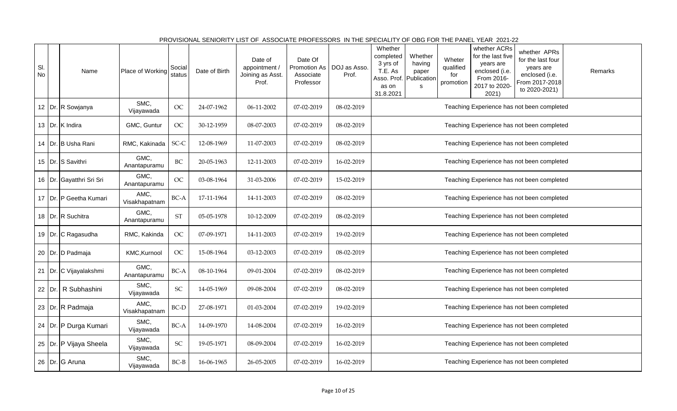| SI.<br>No |     | Name                       | Place of Working      | Social<br>status           | Date of Birth | Date of<br>appointment /<br>Joining as Asst. | Date Of<br>Promotion As<br>Associate | DOJ as Asso.<br>Prof. | Whether<br>completed<br>3 yrs of<br>T.E. As<br>Asso. Prof. Publication | Whether<br>having<br>paper | Wheter<br>qualified<br>for | whether ACRs<br>for the last five<br>years are<br>enclosed (i.e.<br>From 2016- | whether APRs<br>for the last four<br>years are<br>enclosed (i.e. | Remarks |  |  |
|-----------|-----|----------------------------|-----------------------|----------------------------|---------------|----------------------------------------------|--------------------------------------|-----------------------|------------------------------------------------------------------------|----------------------------|----------------------------|--------------------------------------------------------------------------------|------------------------------------------------------------------|---------|--|--|
|           |     |                            |                       |                            |               | Prof.                                        | Professor                            |                       | as on<br>31.8.2021                                                     | $\mathsf{s}$               | promotion                  | 2017 to 2020-<br>2021)                                                         | From 2017-2018<br>to 2020-2021)                                  |         |  |  |
|           |     | 12   Dr. R Sowjanya        | SMC,<br>Vijayawada    | <b>OC</b>                  | 24-07-1962    | 06-11-2002                                   | 07-02-2019                           | 08-02-2019            |                                                                        |                            |                            |                                                                                | Teaching Experience has not been completed                       |         |  |  |
|           |     | 13 Dr. K Indira            | GMC, Guntur           | <b>OC</b>                  | 30-12-1959    | 08-07-2003                                   | 07-02-2019                           | 08-02-2019            |                                                                        |                            |                            |                                                                                | Teaching Experience has not been completed                       |         |  |  |
|           |     | 14   Dr. B Usha Rani       | RMC, Kakinada         | SC-C                       | 12-08-1969    | 11-07-2003                                   | 07-02-2019                           | 08-02-2019            |                                                                        |                            |                            |                                                                                | Teaching Experience has not been completed                       |         |  |  |
|           |     | 15 Dr. S Savithri          | GMC,<br>Anantapuramu  | BC                         | 20-05-1963    | 12-11-2003                                   | 07-02-2019                           | 16-02-2019            |                                                                        |                            |                            |                                                                                | Teaching Experience has not been completed                       |         |  |  |
|           |     | 16   Dr. Gayatthri Sri Sri | GMC,<br>Anantapuramu  | <b>OC</b>                  | 03-08-1964    | 31-03-2006                                   | 07-02-2019                           | 15-02-2019            | Teaching Experience has not been completed                             |                            |                            |                                                                                |                                                                  |         |  |  |
|           |     | 17   Dr.   P Geetha Kumari | AMC,<br>Visakhapatnam | BC-A                       | 17-11-1964    | 14-11-2003                                   | 07-02-2019                           | 08-02-2019            | Teaching Experience has not been completed                             |                            |                            |                                                                                |                                                                  |         |  |  |
|           |     | 18 Dr. R Suchitra          | GMC,<br>Anantapuramu  | $\operatorname{ST}$        | 05-05-1978    | 10-12-2009                                   | 07-02-2019                           | 08-02-2019            |                                                                        |                            |                            |                                                                                | Teaching Experience has not been completed                       |         |  |  |
|           |     | 19 Dr. C Ragasudha         | RMC, Kakinda          | OC                         | 07-09-1971    | 14-11-2003                                   | 07-02-2019                           | 19-02-2019            |                                                                        |                            |                            |                                                                                | Teaching Experience has not been completed                       |         |  |  |
|           |     | 20 Dr. D Padmaja           | KMC, Kurnool          | <b>OC</b>                  | 15-08-1964    | 03-12-2003                                   | 07-02-2019                           | 08-02-2019            |                                                                        |                            |                            |                                                                                | Teaching Experience has not been completed                       |         |  |  |
| 21        |     | Dr. C Vijayalakshmi        | GMC,<br>Anantapuramu  | BC-A                       | 08-10-1964    | 09-01-2004                                   | 07-02-2019                           | 08-02-2019            |                                                                        |                            |                            |                                                                                | Teaching Experience has not been completed                       |         |  |  |
| 22        | Dr. | R Subhashini               | SMC,<br>Vijayawada    | SC                         | 14-05-1969    | 09-08-2004                                   | 07-02-2019                           | 08-02-2019            |                                                                        |                            |                            |                                                                                | Teaching Experience has not been completed                       |         |  |  |
|           |     | 23 Dr. R Padmaja           | AMC,<br>Visakhapatnam | BC-D                       | 27-08-1971    | 01-03-2004                                   | 07-02-2019                           | 19-02-2019            | Teaching Experience has not been completed                             |                            |                            |                                                                                |                                                                  |         |  |  |
| 24        |     | Dr. P Durga Kumari         | SMC,<br>Vijayawada    | BC-A                       | 14-09-1970    | 14-08-2004                                   | 07-02-2019                           | 16-02-2019            | Teaching Experience has not been completed                             |                            |                            |                                                                                |                                                                  |         |  |  |
| 25        |     | Dr. P Vijaya Sheela        | SMC,<br>Vijayawada    | $\ensuremath{\mathsf{SC}}$ | 19-05-1971    | 08-09-2004                                   | 07-02-2019                           | 16-02-2019            |                                                                        |                            |                            |                                                                                | Teaching Experience has not been completed                       |         |  |  |
|           |     | 26 Dr. G Aruna             | SMC,<br>Vijayawada    | $BC-B$                     | 16-06-1965    | 26-05-2005                                   | 07-02-2019                           | 16-02-2019            |                                                                        |                            |                            |                                                                                | Teaching Experience has not been completed                       |         |  |  |

PROVISIONAL SENIORITY LIST OF ASSOCIATE PROFESSORS IN THE SPECIALITY OF OBG FOR THE PANEL YEAR 2021-22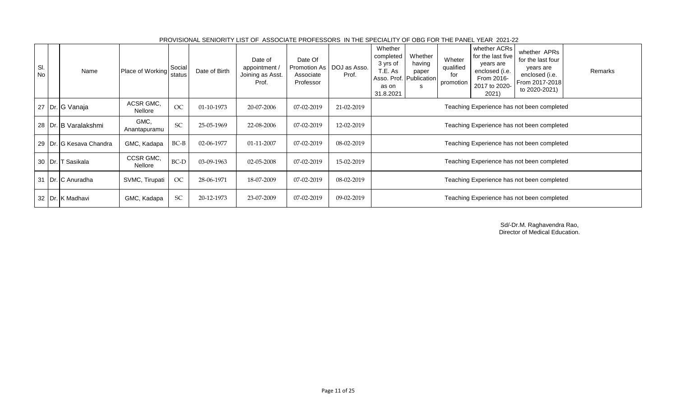| SI.<br>No | Name                      | Place of Working     | Social<br>status | Date of Birth | Date of<br>appointment /<br>Joining as Asst.<br>Prof. | Date Of<br>Promotion As<br>Associate<br>Professor | DOJ as Asso.<br>Prof. | Whether<br>completed<br>3 yrs of<br>T.E. As<br>as on<br>31.8.2021 | Whether<br>having<br>paper<br>Asso. Prof. Publication<br>s | Wheter<br>qualified<br>for<br>promotion | whether ACRs<br>for the last five<br>years are<br>enclosed (i.e.<br>From 2016-<br>2017 to 2020-<br>2021) | whether APRs<br>for the last four<br>years are<br>enclosed (i.e.<br>From 2017-2018<br>to 2020-2021) | Remarks |  |
|-----------|---------------------------|----------------------|------------------|---------------|-------------------------------------------------------|---------------------------------------------------|-----------------------|-------------------------------------------------------------------|------------------------------------------------------------|-----------------------------------------|----------------------------------------------------------------------------------------------------------|-----------------------------------------------------------------------------------------------------|---------|--|
|           | 27 Dr. G Vanaja           | ACSR GMC,<br>Nellore | <b>OC</b>        | 01-10-1973    | 20-07-2006                                            | 07-02-2019                                        | 21-02-2019            | Teaching Experience has not been completed                        |                                                            |                                         |                                                                                                          |                                                                                                     |         |  |
|           | 28   Dr. B Varalakshmi    | GMC,<br>Anantapuramu | <b>SC</b>        | 25-05-1969    | 22-08-2006                                            | 07-02-2019                                        | 12-02-2019            | Teaching Experience has not been completed                        |                                                            |                                         |                                                                                                          |                                                                                                     |         |  |
|           | 29   Dr. G Kesava Chandra | GMC, Kadapa          | $BC-B$           | 02-06-1977    | 01-11-2007                                            | 07-02-2019                                        | 08-02-2019            |                                                                   |                                                            |                                         |                                                                                                          | Teaching Experience has not been completed                                                          |         |  |
|           | 30   Dr.   T Sasikala     | CCSR GMC,<br>Nellore | $BC-D$           | 03-09-1963    | 02-05-2008                                            | 07-02-2019                                        | 15-02-2019            |                                                                   |                                                            |                                         |                                                                                                          | Teaching Experience has not been completed                                                          |         |  |
|           | 31 Dr. C Anuradha         | SVMC, Tirupati       | OC               | 28-06-1971    | 18-07-2009                                            | 07-02-2019                                        | 08-02-2019            | Teaching Experience has not been completed                        |                                                            |                                         |                                                                                                          |                                                                                                     |         |  |
|           | 32 Dr. K Madhavi          | GMC, Kadapa          | SC               | 20-12-1973    | 23-07-2009                                            | 07-02-2019                                        | 09-02-2019            |                                                                   |                                                            |                                         |                                                                                                          | Teaching Experience has not been completed                                                          |         |  |

PROVISIONAL SENIORITY LIST OF ASSOCIATE PROFESSORS IN THE SPECIALITY OF OBG FOR THE PANEL YEAR 2021-22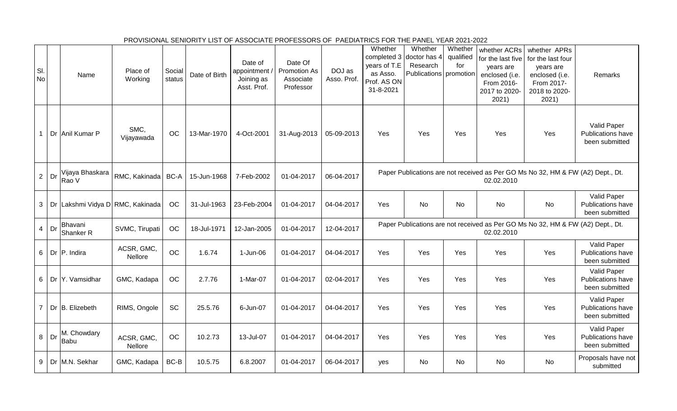|                  |    |                                  |                       |                  |               |                                                     | PROVISIONAL SENIORITY LIST OF ASSOCIATE PROFESSORS OF PAEDIATRICS FOR THE PANEL YEAR 2021-2022 |                       |                                                                 |                                                                           |                             |                                                                                                          |                                                                                                          |                                                    |
|------------------|----|----------------------------------|-----------------------|------------------|---------------|-----------------------------------------------------|------------------------------------------------------------------------------------------------|-----------------------|-----------------------------------------------------------------|---------------------------------------------------------------------------|-----------------------------|----------------------------------------------------------------------------------------------------------|----------------------------------------------------------------------------------------------------------|----------------------------------------------------|
| SI.<br><b>No</b> |    | Name                             | Place of<br>Working   | Social<br>status | Date of Birth | Date of<br>appointment<br>Joining as<br>Asst. Prof. | Date Of<br><b>Promotion As</b><br>Associate<br>Professor                                       | DOJ as<br>Asso. Prof. | Whether<br>years of T.E<br>as Asso.<br>Prof. AS ON<br>31-8-2021 | Whether<br>completed 3 doctor has 4<br>Research<br>Publications promotion | Whether<br>qualified<br>for | whether ACRs<br>for the last five<br>years are<br>enclosed (i.e.<br>From 2016-<br>2017 to 2020-<br>2021) | whether APRs<br>for the last four<br>years are<br>enclosed (i.e.<br>From 2017-<br>2018 to 2020-<br>2021) | Remarks                                            |
|                  |    | Dr Anil Kumar P                  | SMC,<br>Vijayawada    | OC               | 13-Mar-1970   | 4-Oct-2001                                          | 31-Aug-2013                                                                                    | 05-09-2013            | Yes                                                             | Yes                                                                       | Yes                         | Yes                                                                                                      | Yes                                                                                                      | Valid Paper<br>Publications have<br>been submitted |
| $\overline{2}$   | Dr | Vijaya Bhaskara<br>Rao V         | RMC, Kakinada         | BC-A             | 15-Jun-1968   | 7-Feb-2002                                          | 01-04-2017                                                                                     | 06-04-2017            |                                                                 |                                                                           |                             | 02.02.2010                                                                                               | Paper Publications are not received as Per GO Ms No 32, HM & FW (A2) Dept., Dt.                          |                                                    |
| 3 <sup>1</sup>   |    | Dr Lakshmi Vidya D RMC, Kakinada |                       | OC               | 31-Jul-1963   | 23-Feb-2004                                         | 01-04-2017                                                                                     | 04-04-2017            | Yes                                                             | <b>No</b>                                                                 | <b>No</b>                   | <b>No</b>                                                                                                | No                                                                                                       | Valid Paper<br>Publications have<br>been submitted |
| $\overline{4}$   | Dr | Bhavani<br>Shanker <sub>R</sub>  | SVMC, Tirupati        | OC               | 18-Jul-1971   | 12-Jan-2005                                         | 01-04-2017                                                                                     | 12-04-2017            |                                                                 |                                                                           |                             | 02.02.2010                                                                                               | Paper Publications are not received as Per GO Ms No 32, HM & FW (A2) Dept., Dt.                          |                                                    |
| 6 <sup>1</sup>   |    | Dr P. Indira                     | ACSR, GMC,<br>Nellore | OC               | 1.6.74        | 1-Jun-06                                            | 01-04-2017                                                                                     | 04-04-2017            | Yes                                                             | Yes                                                                       | Yes                         | Yes                                                                                                      | Yes                                                                                                      | Valid Paper<br>Publications have<br>been submitted |
| 6 <sup>1</sup>   |    | Dr Y. Vamsidhar                  | GMC, Kadapa           | OC               | 2.7.76        | 1-Mar-07                                            | 01-04-2017                                                                                     | 02-04-2017            | <b>Yes</b>                                                      | Yes                                                                       | Yes                         | Yes                                                                                                      | Yes                                                                                                      | Valid Paper<br>Publications have<br>been submitted |
| $\overline{7}$   |    | Dr B. Elizebeth                  | RIMS, Ongole          | SC               | 25.5.76       | 6-Jun-07                                            | 01-04-2017                                                                                     | 04-04-2017            | Yes                                                             | Yes                                                                       | Yes                         | Yes                                                                                                      | Yes                                                                                                      | Valid Paper<br>Publications have<br>been submitted |
| 8                | Dr | M. Chowdary<br><b>Babu</b>       | ACSR, GMC,<br>Nellore | OC               | 10.2.73       | 13-Jul-07                                           | 01-04-2017                                                                                     | 04-04-2017            | Yes                                                             | Yes                                                                       | Yes                         | Yes                                                                                                      | Yes                                                                                                      | Valid Paper<br>Publications have<br>been submitted |
| 9 <sup>1</sup>   |    | Dr M.N. Sekhar                   | GMC, Kadapa           | BC-B             | 10.5.75       | 6.8.2007                                            | 01-04-2017                                                                                     | 06-04-2017            | ves                                                             | No.                                                                       | No.                         | <b>No</b>                                                                                                | No                                                                                                       | Proposals have not<br>submitted                    |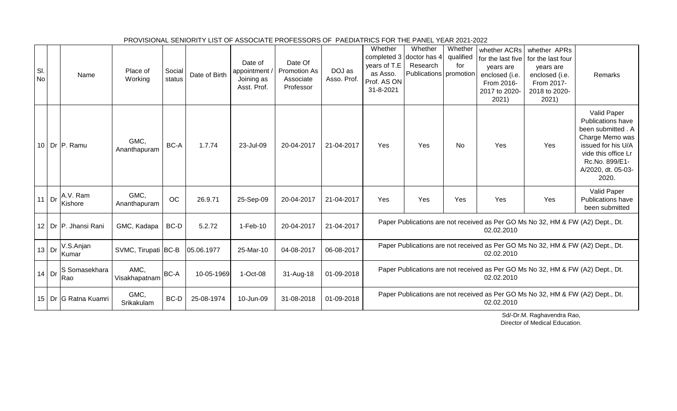| SI.<br><b>No</b> |         | Name                   | Place of<br>Working   | Social<br>status | Date of Birth | Date of<br>appointment<br>Joining as<br>Asst. Prof. | Date Of<br><b>Promotion As</b><br>Associate<br>Professor | DOJ as<br>Asso. Prof. | Whether<br>years of T.E<br>as Asso.<br>Prof. AS ON<br>31-8-2021 | Whether<br>completed 3 doctor has 4<br>Research<br><b>Publications</b> promotion | Whether<br>qualified<br>for | whether ACRs<br>for the last five<br>years are<br>enclosed (i.e.<br>From 2016-<br>2017 to 2020-<br>2021) | whether APRs<br>for the last four<br>years are<br>enclosed (i.e.<br>From 2017-<br>2018 to 2020-<br>2021) | Remarks                                                                                                                                                                        |
|------------------|---------|------------------------|-----------------------|------------------|---------------|-----------------------------------------------------|----------------------------------------------------------|-----------------------|-----------------------------------------------------------------|----------------------------------------------------------------------------------|-----------------------------|----------------------------------------------------------------------------------------------------------|----------------------------------------------------------------------------------------------------------|--------------------------------------------------------------------------------------------------------------------------------------------------------------------------------|
|                  |         | 10 Dr P. Ramu          | GMC.<br>Ananthapuram  | BC-A             | 1.7.74        | 23-Jul-09                                           | 20-04-2017                                               | 21-04-2017            | Yes                                                             | Yes                                                                              | <b>No</b>                   | Yes                                                                                                      | Yes                                                                                                      | Valid Paper<br><b>Publications have</b><br>been submitted . A<br>Charge Memo was<br>issued for his U/A<br>vide this office Lr<br>Rc.No. 899/E1-<br>A/2020, dt. 05-03-<br>2020. |
| $11$ Dr          |         | A.V. Ram<br>Kishore    | GMC,<br>Ananthapuram  | OC               | 26.9.71       | 25-Sep-09                                           | 20-04-2017                                               | 21-04-2017            | Yes                                                             | Yes                                                                              | Yes                         | Yes                                                                                                      | Yes                                                                                                      | Valid Paper<br><b>Publications have</b><br>been submitted                                                                                                                      |
|                  |         | 12 Dr P. Jhansi Rani   | GMC, Kadapa           | BC-D             | 5.2.72        | $1-Feb-10$                                          | 20-04-2017                                               | 21-04-2017            |                                                                 |                                                                                  |                             | 02.02.2010                                                                                               | Paper Publications are not received as Per GO Ms No 32, HM & FW (A2) Dept., Dt.                          |                                                                                                                                                                                |
|                  | $13$ Dr | V.S.Anjan<br>Kumar     | SVMC, Tirupati BC-B   |                  | 05.06.1977    | 25-Mar-10                                           | 04-08-2017                                               | 06-08-2017            |                                                                 |                                                                                  |                             | 02.02.2010                                                                                               | Paper Publications are not received as Per GO Ms No 32, HM & FW (A2) Dept., Dt.                          |                                                                                                                                                                                |
|                  | $14$ Dr | S Somasekhara<br>Rao   | AMC,<br>Visakhapatnam | <b>BC-A</b>      | 10-05-1969    | 1-Oct-08                                            | 31-Aug-18                                                | 01-09-2018            |                                                                 |                                                                                  |                             | 02.02.2010                                                                                               | Paper Publications are not received as Per GO Ms No 32, HM & FW (A2) Dept., Dt.                          |                                                                                                                                                                                |
|                  |         | 15   Dr G Ratna Kuamri | GMC,<br>Srikakulam    | BC-D             | 25-08-1974    | 10-Jun-09                                           | 31-08-2018                                               | 01-09-2018            |                                                                 |                                                                                  |                             | 02.02.2010                                                                                               | Paper Publications are not received as Per GO Ms No 32, HM & FW (A2) Dept., Dt.                          |                                                                                                                                                                                |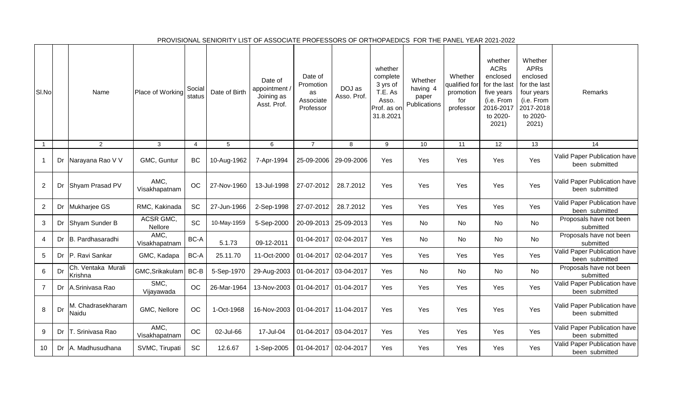| SI.No          |    | Name                          | Place of Working      | Social<br>status | Date of Birth | Date of<br>appointment /<br>Joining as<br>Asst. Prof. | Date of<br>Promotion<br>as<br>Associate<br>Professor | DOJ as<br>Asso. Prof. | whether<br>complete<br>3 yrs of<br>T.E. As<br>Asso.<br>Prof. as on<br>31.8.2021 | Whether<br>having 4<br>paper<br>Publications | Whether<br>qualified for<br>promotion<br>for<br>professor | whether<br><b>ACRs</b><br>enclosed<br>for the last<br>five years<br>(i.e. From<br>2016-2017<br>to 2020-<br>2021) | Whether<br><b>APRs</b><br>enclosed<br>for the last<br>four years<br>(i.e. From<br>2017-2018<br>to 2020-<br>2021) | Remarks                                        |
|----------------|----|-------------------------------|-----------------------|------------------|---------------|-------------------------------------------------------|------------------------------------------------------|-----------------------|---------------------------------------------------------------------------------|----------------------------------------------|-----------------------------------------------------------|------------------------------------------------------------------------------------------------------------------|------------------------------------------------------------------------------------------------------------------|------------------------------------------------|
| $\overline{1}$ |    | $\overline{2}$                | $\mathbf{3}$          | $\overline{4}$   | $\sqrt{5}$    | 6                                                     | $\overline{7}$                                       | 8                     | 9                                                                               | 10                                           | 11                                                        | 12                                                                                                               | 13                                                                                                               | 14                                             |
| $\mathbf{1}$   | Dr | Narayana Rao V V              | GMC, Guntur           | <b>BC</b>        | 10-Aug-1962   | 7-Apr-1994                                            | 25-09-2006                                           | 29-09-2006            | Yes                                                                             | Yes                                          | Yes                                                       | Yes                                                                                                              | Yes                                                                                                              | Valid Paper Publication have<br>been submitted |
| $\overline{2}$ | Dr | Shyam Prasad PV               | AMC,<br>Visakhapatnam | OC               | 27-Nov-1960   | 13-Jul-1998                                           | 27-07-2012                                           | 28.7.2012             | Yes                                                                             | Yes                                          | Yes                                                       | Yes                                                                                                              | Yes                                                                                                              | Valid Paper Publication have<br>been submitted |
| $\overline{2}$ | Dr | Mukharjee GS                  | RMC, Kakinada         | SC               | 27-Jun-1966   | 2-Sep-1998                                            | 27-07-2012                                           | 28.7.2012             | Yes                                                                             | Yes                                          | Yes                                                       | Yes                                                                                                              | Yes                                                                                                              | Valid Paper Publication have<br>been submitted |
| 3              | Dr | Shyam Sunder B                | ACSR GMC,<br>Nellore  | SC               | 10-May-1959   | 5-Sep-2000                                            | 20-09-2013                                           | 25-09-2013            | Yes                                                                             | No                                           | No                                                        | No                                                                                                               | No                                                                                                               | Proposals have not been<br>submitted           |
| $\overline{4}$ | Dr | B. Pardhasaradhi              | AMC,<br>Visakhapatnam | BC-A             | 5.1.73        | 09-12-2011                                            | 01-04-2017                                           | 02-04-2017            | Yes                                                                             | No                                           | <b>No</b>                                                 | <b>No</b>                                                                                                        | No                                                                                                               | Proposals have not been<br>submitted           |
| 5              | Dr | P. Ravi Sankar                | GMC, Kadapa           | BC-A             | 25.11.70      | 11-Oct-2000                                           | 01-04-2017                                           | 02-04-2017            | Yes                                                                             | Yes                                          | Yes                                                       | Yes                                                                                                              | Yes                                                                                                              | Valid Paper Publication have<br>been submitted |
| 6              | Dr | Ch. Ventaka Murali<br>Krishna | GMC, Srikakulam       | BC-B             | 5-Sep-1970    | 29-Aug-2003                                           | 01-04-2017                                           | 03-04-2017            | Yes                                                                             | No                                           | No                                                        | No                                                                                                               | No                                                                                                               | Proposals have not been<br>submitted           |
| $\overline{7}$ | Dr | A.Srinivasa Rao               | SMC,<br>Vijayawada    | OC               | 26-Mar-1964   | 13-Nov-2003                                           | 01-04-2017                                           | 01-04-2017            | Yes                                                                             | Yes                                          | Yes                                                       | Yes                                                                                                              | Yes                                                                                                              | Valid Paper Publication have<br>been submitted |
| 8              | Dr | M. Chadrasekharam<br>Naidu    | GMC, Nellore          | OC               | 1-Oct-1968    | 16-Nov-2003                                           | 01-04-2017 11-04-2017                                |                       | Yes                                                                             | Yes                                          | Yes                                                       | Yes                                                                                                              | Yes                                                                                                              | Valid Paper Publication have<br>been submitted |
| 9              | Dr | T. Srinivasa Rao              | AMC,<br>Visakhapatnam | OC               | 02-Jul-66     | 17-Jul-04                                             | 01-04-2017                                           | 03-04-2017            | Yes                                                                             | Yes                                          | Yes                                                       | Yes                                                                                                              | Yes                                                                                                              | Valid Paper Publication have<br>been submitted |
| 10             | Dr | A. Madhusudhana               | SVMC, Tirupati        | <b>SC</b>        | 12.6.67       | 1-Sep-2005                                            | 01-04-2017                                           | 02-04-2017            | Yes                                                                             | Yes                                          | Yes                                                       | Yes                                                                                                              | Yes                                                                                                              | Valid Paper Publication have<br>been submitted |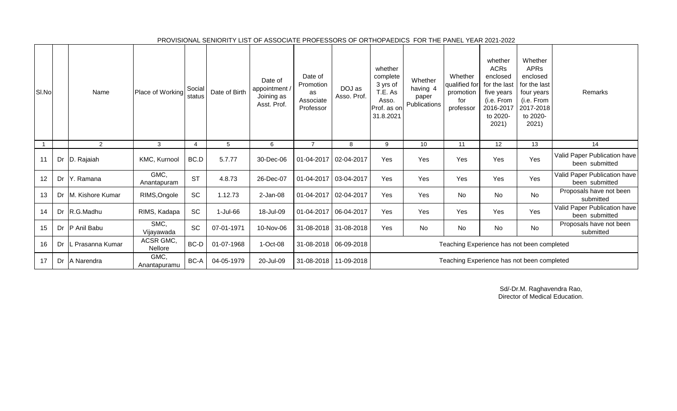| SI.No |    | Name             | Place of Working            | Social<br>status | Date of Birth | Date of<br>appointment /<br>Joining as<br>Asst. Prof. | Date of<br>Promotion<br>as<br>Associate<br>Professor | DOJ as<br>Asso. Prof. | whether<br>complete<br>3 yrs of<br>T.E. As<br>Asso.<br>Prof. as on<br>31.8.2021 | Whether<br>having 4<br>paper<br>Publications | Whether<br>qualified for<br>promotion<br>for<br>professor | whether<br><b>ACRs</b><br>enclosed<br>for the last<br>five years<br>(i.e. From<br>2016-2017<br>to 2020-<br>2021) | Whether<br><b>APR<sub>s</sub></b><br>enclosed<br>for the last<br>four years<br>(i.e. From<br>2017-2018<br>to 2020-<br>2021) | Remarks                                        |
|-------|----|------------------|-----------------------------|------------------|---------------|-------------------------------------------------------|------------------------------------------------------|-----------------------|---------------------------------------------------------------------------------|----------------------------------------------|-----------------------------------------------------------|------------------------------------------------------------------------------------------------------------------|-----------------------------------------------------------------------------------------------------------------------------|------------------------------------------------|
|       |    | 2                | 3                           | 4                | 5             | 6                                                     | 7                                                    | 8                     | 9                                                                               | 10                                           | 11                                                        | 12                                                                                                               | 13                                                                                                                          | 14                                             |
| 11    | Dr | D. Rajaiah       | KMC, Kurnool                | BC.D             | 5.7.77        | 30-Dec-06                                             |                                                      | 01-04-2017 02-04-2017 | Yes                                                                             | Yes                                          | Yes                                                       | Yes                                                                                                              | Yes                                                                                                                         | Valid Paper Publication have<br>been submitted |
| 12    | Dr | Y. Ramana        | GMC,<br>Anantapuram         | <b>ST</b>        | 4.8.73        | 26-Dec-07                                             |                                                      | 01-04-2017 03-04-2017 | Yes                                                                             | Yes                                          | Yes                                                       | Yes                                                                                                              | Yes                                                                                                                         | Valid Paper Publication have<br>been submitted |
| 13    | Dr | M. Kishore Kumar | RIMS, Ongole                | SC               | 1.12.73       | $2-Jan-08$                                            |                                                      | 01-04-2017 02-04-2017 | Yes                                                                             | Yes                                          | No                                                        | No                                                                                                               | No                                                                                                                          | Proposals have not been<br>submitted           |
| 14    | Dr | R.G.Madhu        | RIMS, Kadapa                | SC               | 1-Jul-66      | 18-Jul-09                                             |                                                      | 01-04-2017 06-04-2017 | Yes                                                                             | Yes                                          | Yes                                                       | Yes                                                                                                              | Yes                                                                                                                         | Valid Paper Publication have<br>been submitted |
| 15    | Dr | P Anil Babu      | SMC,<br>Vijayawada          | SC               | 07-01-1971    | 10-Nov-06                                             |                                                      | 31-08-2018 31-08-2018 | Yes                                                                             | No                                           | No                                                        | No                                                                                                               | No                                                                                                                          | Proposals have not been<br>submitted           |
| 16    | Dr | Prasanna Kumar   | ACSR GMC,<br><b>Nellore</b> | $BC-D$           | 01-07-1968    | 1-Oct-08                                              |                                                      | 31-08-2018 06-09-2018 |                                                                                 |                                              | Teaching Experience has not been completed                |                                                                                                                  |                                                                                                                             |                                                |
| 17    | Dr | A Narendra       | GMC,<br>Anantapuramu        | BC-A             | 04-05-1979    | 20-Jul-09                                             |                                                      | 31-08-2018 11-09-2018 |                                                                                 |                                              | Teaching Experience has not been completed                |                                                                                                                  |                                                                                                                             |                                                |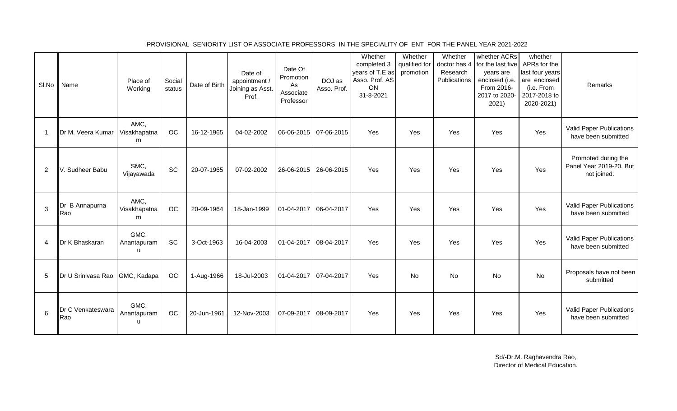| SI.No          | Name                           | Place of<br>Working                 | Social<br>status | Date of Birth | Date of<br>appointment /<br>Joining as Asst.<br>Prof. | Date Of<br>Promotion<br>As<br>Associate<br>Professor | DOJ as<br>Asso. Prof.   | Whether<br>completed 3<br>years of T.E as<br>Asso. Prof. AS<br>ON<br>31-8-2021 | Whether<br>qualified for<br>promotion | Whether<br>Research<br>Publications | whether ACRs<br>doctor has 4 for the last five<br>years are<br>enclosed (i.e.<br>From 2016-<br>2017 to 2020-<br>2021) | whether<br>APRs for the<br>last four years<br>are enclosed<br>(i.e. From<br>2017-2018 to<br>2020-2021) | Remarks                                                       |
|----------------|--------------------------------|-------------------------------------|------------------|---------------|-------------------------------------------------------|------------------------------------------------------|-------------------------|--------------------------------------------------------------------------------|---------------------------------------|-------------------------------------|-----------------------------------------------------------------------------------------------------------------------|--------------------------------------------------------------------------------------------------------|---------------------------------------------------------------|
| -1             | Dr M. Veera Kumar              | AMC,<br>Visakhapatna<br>m           | <b>OC</b>        | 16-12-1965    | 04-02-2002                                            |                                                      | 06-06-2015   07-06-2015 | Yes                                                                            | Yes                                   | Yes                                 | Yes                                                                                                                   | Yes                                                                                                    | <b>Valid Paper Publications</b><br>have been submitted        |
| $\overline{2}$ | V. Sudheer Babu                | SMC,<br>Vijayawada                  | <b>SC</b>        | 20-07-1965    | 07-02-2002                                            |                                                      | 26-06-2015   26-06-2015 | Yes                                                                            | Yes                                   | Yes                                 | Yes                                                                                                                   | Yes                                                                                                    | Promoted during the<br>Panel Year 2019-20. But<br>not joined. |
| 3              | Dr B Annapurna<br>Rao          | AMC,<br>Visakhapatna<br>m           | OC               | 20-09-1964    | 18-Jan-1999                                           | 01-04-2017 06-04-2017                                |                         | Yes                                                                            | Yes                                   | Yes                                 | Yes                                                                                                                   | Yes                                                                                                    | <b>Valid Paper Publications</b><br>have been submitted        |
| 4              | Dr K Bhaskaran                 | GMC,<br>Anantapuram<br>$\mathbf{u}$ | <b>SC</b>        | 3-Oct-1963    | 16-04-2003                                            | 01-04-2017 08-04-2017                                |                         | Yes                                                                            | Yes                                   | Yes                                 | Yes                                                                                                                   | Yes                                                                                                    | Valid Paper Publications<br>have been submitted               |
| 5              | Dr U Srinivasa Rao GMC, Kadapa |                                     | OC               | 1-Aug-1966    | 18-Jul-2003                                           | 01-04-2017 07-04-2017                                |                         | Yes                                                                            | <b>No</b>                             | <b>No</b>                           | No                                                                                                                    | No                                                                                                     | Proposals have not been<br>submitted                          |
| 6              | Dr C Venkateswara<br>Rao       | GMC,<br>Anantapuram<br>u            | <b>OC</b>        | 20-Jun-1961   | 12-Nov-2003                                           | 07-09-2017 08-09-2017                                |                         | Yes                                                                            | Yes                                   | Yes                                 | Yes                                                                                                                   | Yes                                                                                                    | Valid Paper Publications<br>have been submitted               |

PROVISIONAL SENIORITY LIST OF ASSOCIATE PROFESSORS IN THE SPECIALITY OF ENT FOR THE PANEL YEAR 2021-2022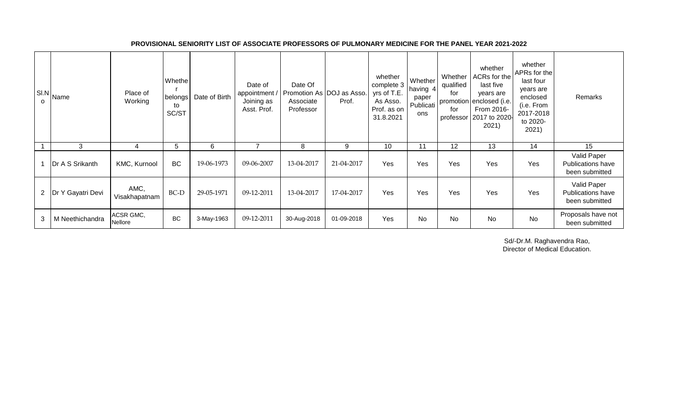| SI.N<br>$\mathsf{o}$ | Name                  | Place of<br>Working   | Whethe<br>belongs<br>to<br>SC/ST | Date of Birth | Date of<br>appointment<br>Joining as<br>Asst. Prof. | Date Of<br>Promotion As DOJ as Asso.<br>Associate<br>Professor | Prof.      | whether<br>complete 3<br>yrs of T.E.<br>As Asso.<br>Prof. as on<br>31.8.2021 | Whether<br>having 4<br>paper<br>Publicati<br>ons | Whether<br>qualified<br>for<br>for | whether<br>ACRs for the<br>last five<br>years are<br>promotion enclosed (i.e.<br>From 2016-<br>professor   2017 to 2020-<br>2021) | whether<br>APRs for the<br>last four<br>years are<br>enclosed<br>(i.e. From<br>2017-2018<br>to 2020-<br>2021) | Remarks                                                   |
|----------------------|-----------------------|-----------------------|----------------------------------|---------------|-----------------------------------------------------|----------------------------------------------------------------|------------|------------------------------------------------------------------------------|--------------------------------------------------|------------------------------------|-----------------------------------------------------------------------------------------------------------------------------------|---------------------------------------------------------------------------------------------------------------|-----------------------------------------------------------|
|                      | 3                     | 4                     | 5.                               | 6             |                                                     | 8                                                              | 9          | 10                                                                           | 11                                               | 12                                 | 13                                                                                                                                | 14                                                                                                            | 15                                                        |
|                      | Dr A S Srikanth       | KMC, Kurnool          | <b>BC</b>                        | 19-06-1973    | 09-06-2007                                          | 13-04-2017                                                     | 21-04-2017 | Yes                                                                          | Yes                                              | Yes                                | Yes                                                                                                                               | Yes                                                                                                           | Valid Paper<br><b>Publications have</b><br>been submitted |
|                      | 2   Dr Y Gayatri Devi | AMC,<br>Visakhapatnam | BC-D                             | 29-05-1971    | 09-12-2011                                          | 13-04-2017                                                     | 17-04-2017 | Yes                                                                          | Yes                                              | Yes                                | Yes                                                                                                                               | Yes                                                                                                           | Valid Paper<br><b>Publications have</b><br>been submitted |
| 3                    | M Neethichandra       | ACSR GMC,<br>Nellore  | <b>BC</b>                        | 3-May-1963    | 09-12-2011                                          | 30-Aug-2018                                                    | 01-09-2018 | Yes                                                                          | No                                               | <b>No</b>                          | <b>No</b>                                                                                                                         | <b>No</b>                                                                                                     | Proposals have not<br>been submitted                      |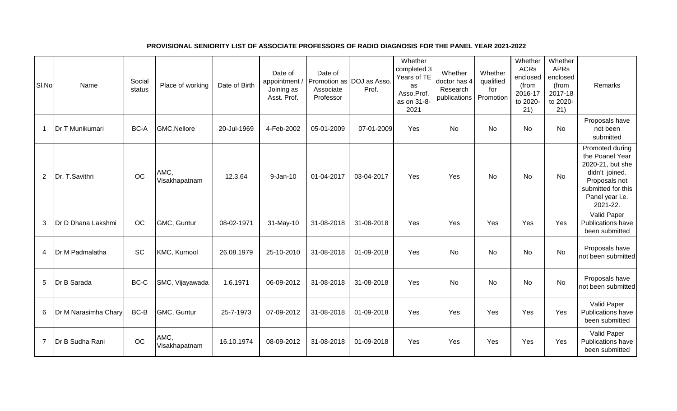# **PROVISIONAL SENIORITY LIST OF ASSOCIATE PROFESSORS OF RADIO DIAGNOSIS FOR THE PANEL YEAR 2021-2022**

| SI.No          | Name                 | Social<br>status | Place of working      | Date of Birth | Date of<br>appointment /<br>Joining as<br>Asst. Prof. | Date of<br>Associate<br>Professor | Promotion as DOJ as Asso.<br>Prof. | Whether<br>completed 3<br>Years of TE<br>as<br>Asso.Prof.<br>as on 31-8-<br>2021 | Whether<br>doctor has 4<br>Research<br>publications | Whether<br>qualified<br>for<br>Promotion | Whether<br><b>ACRs</b><br>enclosed<br>(from<br>2016-17<br>to 2020-<br>21) | Whether<br>APRs<br>enclosed<br>(from<br>2017-18<br>to 2020-<br>21) | Remarks                                                                                                                                        |
|----------------|----------------------|------------------|-----------------------|---------------|-------------------------------------------------------|-----------------------------------|------------------------------------|----------------------------------------------------------------------------------|-----------------------------------------------------|------------------------------------------|---------------------------------------------------------------------------|--------------------------------------------------------------------|------------------------------------------------------------------------------------------------------------------------------------------------|
| 1              | Dr T Munikumari      | BC-A             | GMC, Nellore          | 20-Jul-1969   | 4-Feb-2002                                            | 05-01-2009                        | 07-01-2009                         | Yes                                                                              | No                                                  | No                                       | No                                                                        | No                                                                 | Proposals have<br>not been<br>submitted                                                                                                        |
| $\overline{2}$ | Dr. T.Savithri       | OC               | AMC,<br>Visakhapatnam | 12.3.64       | 9-Jan-10                                              | 01-04-2017                        | 03-04-2017                         | Yes                                                                              | Yes                                                 | No                                       | No                                                                        | No                                                                 | Promoted during<br>the Poanel Year<br>2020-21, but she<br>didn't joined.<br>Proposals not<br>submitted for this<br>Panel year i.e.<br>2021-22. |
| 3              | Dr D Dhana Lakshmi   | OC               | GMC, Guntur           | 08-02-1971    | 31-May-10                                             | 31-08-2018                        | 31-08-2018                         | Yes                                                                              | Yes                                                 | Yes                                      | Yes                                                                       | Yes                                                                | Valid Paper<br>Publications have<br>been submitted                                                                                             |
| 4              | Dr M Padmalatha      | <b>SC</b>        | KMC, Kurnool          | 26.08.1979    | 25-10-2010                                            | 31-08-2018                        | 01-09-2018                         | Yes                                                                              | <b>No</b>                                           | No                                       | <b>No</b>                                                                 | <b>No</b>                                                          | Proposals have<br>not been submitted                                                                                                           |
| 5              | Dr B Sarada          | BC-C             | SMC, Vijayawada       | 1.6.1971      | 06-09-2012                                            | 31-08-2018                        | 31-08-2018                         | Yes                                                                              | No                                                  | No                                       | No                                                                        | No                                                                 | Proposals have<br>not been submitted                                                                                                           |
| 6              | Dr M Narasimha Chary | BC-B             | GMC, Guntur           | 25-7-1973     | 07-09-2012                                            | 31-08-2018                        | 01-09-2018                         | Yes                                                                              | Yes                                                 | Yes                                      | Yes                                                                       | Yes                                                                | Valid Paper<br>Publications have<br>been submitted                                                                                             |
| $\overline{7}$ | Dr B Sudha Rani      | OC               | AMC,<br>Visakhapatnam | 16.10.1974    | 08-09-2012                                            | 31-08-2018                        | 01-09-2018                         | Yes                                                                              | Yes                                                 | Yes                                      | Yes                                                                       | Yes                                                                | Valid Paper<br>Publications have<br>been submitted                                                                                             |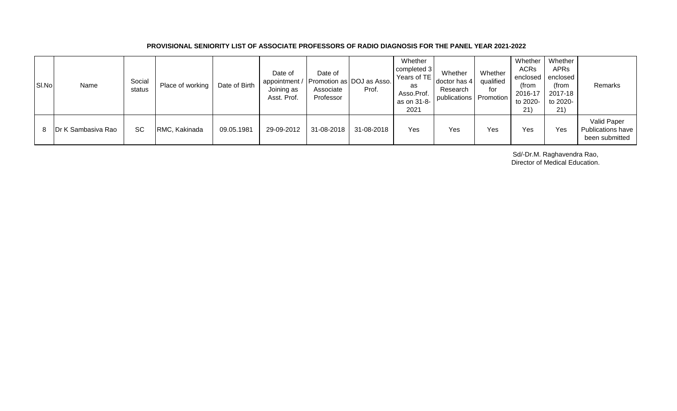## **PROVISIONAL SENIORITY LIST OF ASSOCIATE PROFESSORS OF RADIO DIAGNOSIS FOR THE PANEL YEAR 2021-2022**

| SI.No | Name                       | Social<br>status | Place of working | Date of Birth | Date of<br>appointment / Promotion as DOJ as Asso.<br>Joining as<br>Asst. Prof. | Date of<br>Associate<br>Professor | Prof.      | Whether<br>completed 3<br>Years of TE<br>as<br>Asso.Prof.<br>as on 31-8-<br>2021 | Whether<br>doctor has 4<br>Research<br>publications Promotion | Whether<br>qualified<br>for | Whether<br><b>ACRs</b><br>enclosed<br>(from<br>2016-17<br>to 2020-<br>21) | Whether<br><b>APRs</b><br>enclosed<br>(from<br>2017-18<br>to 2020-<br>21) | Remarks                                            |
|-------|----------------------------|------------------|------------------|---------------|---------------------------------------------------------------------------------|-----------------------------------|------------|----------------------------------------------------------------------------------|---------------------------------------------------------------|-----------------------------|---------------------------------------------------------------------------|---------------------------------------------------------------------------|----------------------------------------------------|
| 8.    | <b>IDr K Sambasiva Rao</b> | <b>SC</b>        | RMC, Kakinada    | 09.05.1981    | 29-09-2012                                                                      | 31-08-2018                        | 31-08-2018 | Yes                                                                              | Yes                                                           | Yes                         | Yes                                                                       | Yes                                                                       | Valid Paper<br>Publications have<br>been submitted |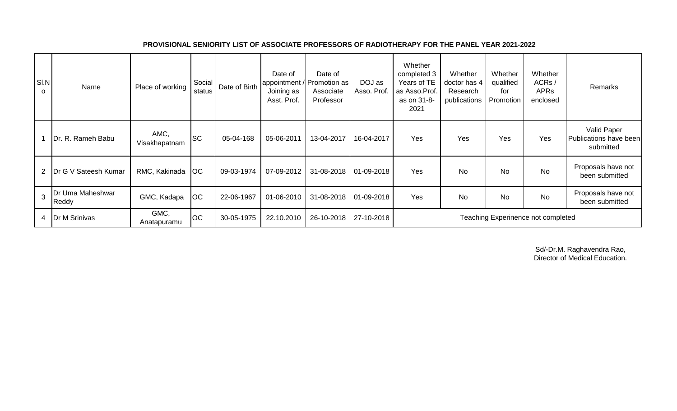| SI.N<br>O      | Name                      | Place of working      | Social<br>status | Date of Birth | Date of<br>Joining as<br>Asst. Prof. | Date of<br> appointment / Promotion as<br>Associate<br>Professor | DOJ as<br>Asso. Prof. | Whether<br>completed 3<br>Years of TE<br>as Asso.Prof.<br>as on 31-8-<br>2021 | Whether<br>doctor has 4<br>Research<br>publications | Whether<br>qualified<br>for<br>Promotion | Whether<br>ACRs/<br><b>APRs</b><br>enclosed | Remarks                                            |
|----------------|---------------------------|-----------------------|------------------|---------------|--------------------------------------|------------------------------------------------------------------|-----------------------|-------------------------------------------------------------------------------|-----------------------------------------------------|------------------------------------------|---------------------------------------------|----------------------------------------------------|
|                | Dr. R. Rameh Babu         | AMC,<br>Visakhapatnam | <b>SC</b>        | 05-04-168     | 05-06-2011                           | 13-04-2017                                                       | 16-04-2017            | Yes                                                                           | Yes                                                 | Yes                                      | Yes                                         | Valid Paper<br>Publications have been<br>submitted |
| $\overline{2}$ | Dr G V Sateesh Kumar      | RMC, Kakinada         | OC               | 09-03-1974    | 07-09-2012                           | 31-08-2018                                                       | 01-09-2018            | Yes                                                                           | <b>No</b>                                           | No                                       | No                                          | Proposals have not<br>been submitted               |
| $\overline{3}$ | Dr Uma Maheshwar<br>Reddy | GMC, Kadapa           | OC               | 22-06-1967    | 01-06-2010                           | 31-08-2018                                                       | 01-09-2018            | Yes                                                                           | <b>No</b>                                           | <b>No</b>                                | <b>No</b>                                   | Proposals have not<br>been submitted               |
|                | 4   Dr M Srinivas         | GMC,<br>Anatapuramu   | OC               | 30-05-1975    | 22.10.2010                           | 26-10-2018                                                       | 27-10-2018            |                                                                               |                                                     |                                          | Teaching Experinence not completed          |                                                    |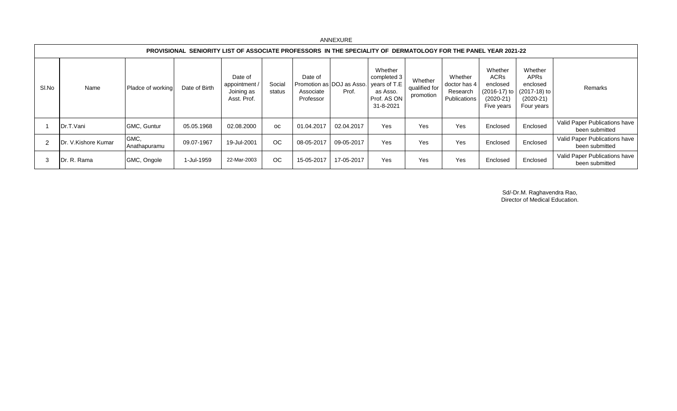|       |                      |                      |                                                                                                                |                                                       |                  |                                   | $1.1.111$ $-1.0111$                |                                                                                |                                       |                                                     |                                                                 |                                                                                                  |                                                 |
|-------|----------------------|----------------------|----------------------------------------------------------------------------------------------------------------|-------------------------------------------------------|------------------|-----------------------------------|------------------------------------|--------------------------------------------------------------------------------|---------------------------------------|-----------------------------------------------------|-----------------------------------------------------------------|--------------------------------------------------------------------------------------------------|-------------------------------------------------|
|       |                      |                      | PROVISIONAL SENIORITY LIST OF ASSOCIATE PROFESSORS IN THE SPECIALITY OF DERMATOLOGY FOR THE PANEL YEAR 2021-22 |                                                       |                  |                                   |                                    |                                                                                |                                       |                                                     |                                                                 |                                                                                                  |                                                 |
| SI.No | Name                 | Pladce of working    | Date of Birth                                                                                                  | Date of<br>appointment /<br>Joining as<br>Asst. Prof. | Social<br>status | Date of<br>Associate<br>Professor | Promotion as DOJ as Asso.<br>Prof. | Whether<br>completed 3<br>years of T.E<br>as Asso.<br>Prof. AS ON<br>31-8-2021 | Whether<br>qualified for<br>promotion | Whether<br>doctor has 4<br>Research<br>Publications | Whether<br><b>ACRs</b><br>enclosed<br>$(2020-21)$<br>Five years | Whether<br><b>APRs</b><br>enclosed<br>$(2016-17)$ to $(2017-18)$ to<br>$(2020-21)$<br>Four years | Remarks                                         |
|       | Dr.T.Vani            | GMC, Guntur          | 05.05.1968                                                                                                     | 02.08.2000                                            | <b>OC</b>        | 01.04.2017                        | 02.04.2017                         | Yes                                                                            | Yes                                   | Yes                                                 | Enclosed                                                        | Enclosed                                                                                         | Valid Paper Publications have<br>been submitted |
|       | IDr. V.Kishore Kumar | GMC,<br>Anathapuramu | 09.07-1967                                                                                                     | 19-Jul-2001                                           | OC.              | 08-05-2017                        | 09-05-2017                         | Yes                                                                            | Yes                                   | Yes                                                 | Enclosed                                                        | Enclosed                                                                                         | Valid Paper Publications have<br>been submitted |
| -3    | Dr. R. Rama          | GMC, Ongole          | 1-Jul-1959                                                                                                     | 22-Mar-2003                                           | OC.              | 15-05-2017                        | 17-05-2017                         | Yes                                                                            | Yes                                   | Yes                                                 | Enclosed                                                        | Enclosed                                                                                         | Valid Paper Publications have<br>been submitted |

Sd/-Dr.M. Raghavendra Rao, Director of Medical Education.

#### ANNEXURE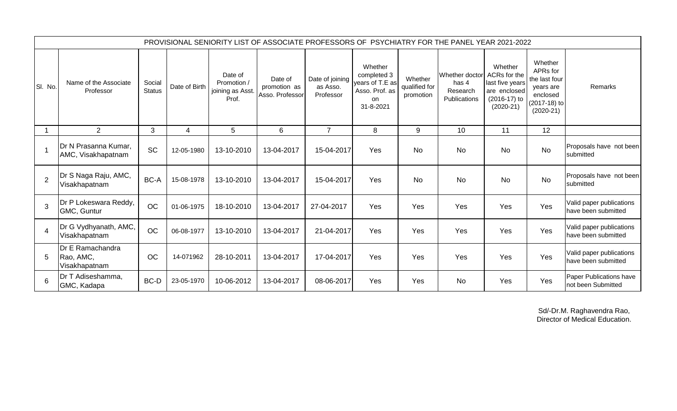|                |                                                |                         |               |                                                     | PROVISIONAL SENIORITY LIST OF ASSOCIATE PROFESSORS OF PSYCHIATRY FOR THE PANEL YEAR 2021-2022 |                                          |                                                                                |                                       |                                                     |                                                                                           |                                                                                              |                                                 |
|----------------|------------------------------------------------|-------------------------|---------------|-----------------------------------------------------|-----------------------------------------------------------------------------------------------|------------------------------------------|--------------------------------------------------------------------------------|---------------------------------------|-----------------------------------------------------|-------------------------------------------------------------------------------------------|----------------------------------------------------------------------------------------------|-------------------------------------------------|
| SI. No.        | Name of the Associate<br>Professor             | Social<br><b>Status</b> | Date of Birth | Date of<br>Promotion /<br>joining as Asst.<br>Prof. | Date of<br>promotion as<br>Asso. Professor                                                    | Date of joining<br>as Asso.<br>Professor | Whether<br>completed 3<br>years of T.E as<br>Asso. Prof. as<br>on<br>31-8-2021 | Whether<br>qualified for<br>promotion | Whether doctor<br>has 4<br>Research<br>Publications | Whether<br>ACRs for the<br>last five years<br>are enclosed<br>(2016-17) to<br>$(2020-21)$ | Whether<br>APRs for<br>the last four<br>years are<br>enclosed<br>(2017-18) to<br>$(2020-21)$ | Remarks                                         |
|                | $\overline{2}$                                 | 3                       | 4             | 5                                                   | 6                                                                                             | $\overline{7}$                           | 8                                                                              | 9                                     | 10                                                  | 11                                                                                        | 12                                                                                           |                                                 |
|                | Dr N Prasanna Kumar,<br>AMC, Visakhapatnam     | <b>SC</b>               | 12-05-1980    | 13-10-2010                                          | 13-04-2017                                                                                    | 15-04-2017                               | Yes                                                                            | <b>No</b>                             | <b>No</b>                                           | No                                                                                        | <b>No</b>                                                                                    | Proposals have not been<br>submitted            |
| $\overline{2}$ | Dr S Naga Raju, AMC,<br>Visakhapatnam          | BC-A                    | 15-08-1978    | 13-10-2010                                          | 13-04-2017                                                                                    | 15-04-2017                               | Yes                                                                            | <b>No</b>                             | <b>No</b>                                           | No                                                                                        | <b>No</b>                                                                                    | Proposals have not been<br>submitted            |
| 3              | Dr P Lokeswara Reddy,<br>GMC, Guntur           | <b>OC</b>               | 01-06-1975    | 18-10-2010                                          | 13-04-2017                                                                                    | 27-04-2017                               | Yes                                                                            | Yes                                   | Yes                                                 | Yes                                                                                       | Yes                                                                                          | Valid paper publications<br>have been submitted |
| $\overline{4}$ | Dr G Vydhyanath, AMC,<br>Visakhapatnam         | <b>OC</b>               | 06-08-1977    | 13-10-2010                                          | 13-04-2017                                                                                    | 21-04-2017                               | Yes                                                                            | Yes                                   | Yes                                                 | Yes                                                                                       | Yes                                                                                          | Valid paper publications<br>have been submitted |
| 5              | Dr E Ramachandra<br>Rao, AMC,<br>Visakhapatnam | <b>OC</b>               | 14-071962     | 28-10-2011                                          | 13-04-2017                                                                                    | 17-04-2017                               | Yes                                                                            | Yes                                   | Yes                                                 | Yes                                                                                       | Yes                                                                                          | Valid paper publications<br>have been submitted |
| 6              | Dr T Adiseshamma,<br>GMC, Kadapa               | BC-D                    | 23-05-1970    | 10-06-2012                                          | 13-04-2017                                                                                    | 08-06-2017                               | Yes                                                                            | Yes                                   | <b>No</b>                                           | Yes                                                                                       | Yes                                                                                          | Paper Publications have<br>not been Submitted   |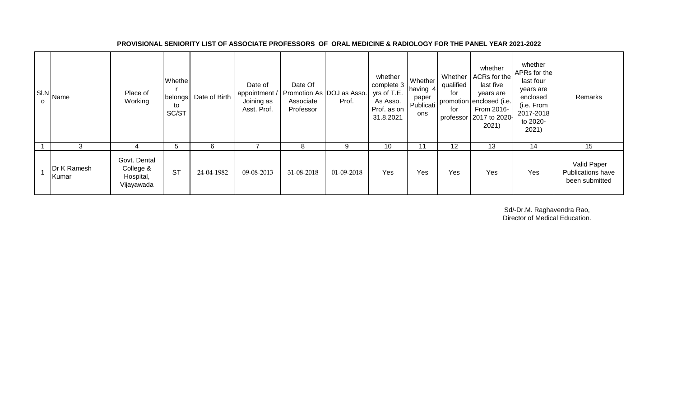| $\mathbf{O}$ | SI.N Name            | Place of<br>Working                                  | Whethe<br>belongs<br>to<br>SC/ST | Date of Birth | Date of<br>appointment /<br>Joining as<br>Asst. Prof. | Date Of<br>Promotion As DOJ as Asso.<br>Associate<br>Professor | Prof.      | whether<br>complete 3<br>yrs of T.E.<br>As Asso.<br>Prof. as on<br>31.8.2021 | Whether<br>having 4<br>paper<br>Publicati<br>ons | Whether<br>qualified<br>for<br>for | whether<br>ACRs for the<br>last five<br>years are<br>promotion enclosed (i.e.<br>From 2016-<br>professor 2017 to 2020-<br>2021) | whether<br>APRs for the<br>last four<br>years are<br>enclosed<br>(i.e. From<br>2017-2018<br>to 2020-<br>2021) | Remarks                                                   |
|--------------|----------------------|------------------------------------------------------|----------------------------------|---------------|-------------------------------------------------------|----------------------------------------------------------------|------------|------------------------------------------------------------------------------|--------------------------------------------------|------------------------------------|---------------------------------------------------------------------------------------------------------------------------------|---------------------------------------------------------------------------------------------------------------|-----------------------------------------------------------|
|              |                      |                                                      | 5                                | 6             |                                                       | 8                                                              | 9          | 10                                                                           | 11                                               | 12                                 | 13                                                                                                                              | 14                                                                                                            | 15                                                        |
|              | Dr K Ramesh<br>Kumar | Govt. Dental<br>College &<br>Hospital,<br>Vijayawada | <b>ST</b>                        | 24-04-1982    | 09-08-2013                                            | 31-08-2018                                                     | 01-09-2018 | Yes                                                                          | Yes                                              | Yes                                | Yes                                                                                                                             | Yes                                                                                                           | Valid Paper<br><b>Publications have</b><br>been submitted |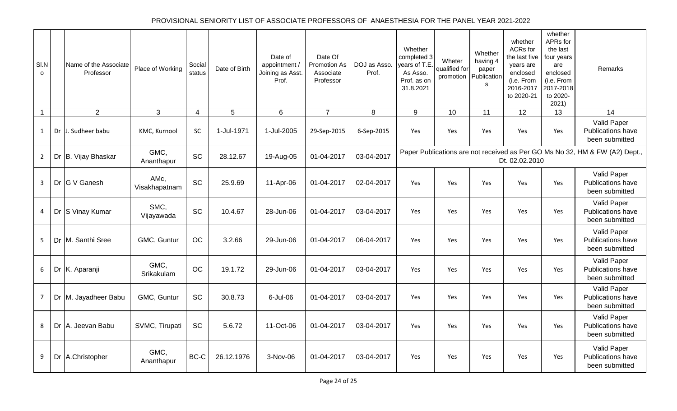# PROVISIONAL SENIORITY LIST OF ASSOCIATE PROFESSORS OF ANAESTHESIA FOR THE PANEL YEAR 2021-2022

| SI.N<br>$\Omega$ | Name of the Associate<br>Professor | Place of Working      | Social<br>status | Date of Birth   | Date of<br>appointment /<br>Joining as Asst.<br>Prof. | Date Of<br>Promotion As<br>Associate<br>Professor | DOJ as Asso.<br>Prof. | Whether<br>completed 3<br>years of T.E.<br>As Asso.<br>Prof. as on<br>31.8.2021 | Wheter<br>qualified for<br>promotion | Whether<br>having 4<br>paper<br>Publication<br>s | whether<br>ACRs for<br>the last five<br>years are<br>enclosed<br>(i.e. From<br>2016-2017<br>to 2020-21 | whether<br>APRs for<br>the last<br>four years<br>are<br>enclosed<br>(i.e. From<br>2017-2018<br>to 2020-<br>2021) | Remarks                                                                     |
|------------------|------------------------------------|-----------------------|------------------|-----------------|-------------------------------------------------------|---------------------------------------------------|-----------------------|---------------------------------------------------------------------------------|--------------------------------------|--------------------------------------------------|--------------------------------------------------------------------------------------------------------|------------------------------------------------------------------------------------------------------------------|-----------------------------------------------------------------------------|
| $\mathbf{1}$     | $\overline{2}$                     | $\mathbf{3}$          | $\overline{4}$   | $5\phantom{.0}$ | 6                                                     | $\overline{7}$                                    | 8                     | 9                                                                               | 10                                   | 11                                               | 12                                                                                                     | 13                                                                                                               | 14                                                                          |
| $\mathbf{1}$     | Dr J. Sudheer babu                 | KMC, Kurnool          | SC               | 1-Jul-1971      | 1-Jul-2005                                            | 29-Sep-2015                                       | 6-Sep-2015            | Yes                                                                             | Yes                                  | Yes                                              | Yes                                                                                                    | Yes                                                                                                              | Valid Paper<br>Publications have<br>been submitted                          |
| $\overline{2}$   | Dr B. Vijay Bhaskar                | GMC.<br>Ananthapur    | <b>SC</b>        | 28.12.67        | 19-Aug-05                                             | 01-04-2017                                        | 03-04-2017            |                                                                                 |                                      |                                                  | Dt. 02.02.2010                                                                                         |                                                                                                                  | Paper Publications are not received as Per GO Ms No 32, HM & FW (A2) Dept., |
| 3                | Dr G V Ganesh                      | AMc,<br>Visakhapatnam | SC               | 25.9.69         | 11-Apr-06                                             | 01-04-2017                                        | 02-04-2017            | Yes                                                                             | <b>Yes</b>                           | Yes                                              | Yes                                                                                                    | <b>Yes</b>                                                                                                       | Valid Paper<br>Publications have<br>been submitted                          |
| 4                | Dr S Vinay Kumar                   | SMC,<br>Vijayawada    | <b>SC</b>        | 10.4.67         | 28-Jun-06                                             | 01-04-2017                                        | 03-04-2017            | Yes                                                                             | <b>Yes</b>                           | Yes                                              | Yes                                                                                                    | Yes                                                                                                              | Valid Paper<br>Publications have<br>been submitted                          |
| 5                | Dr M. Santhi Sree                  | GMC, Guntur           | OC               | 3.2.66          | 29-Jun-06                                             | 01-04-2017                                        | 06-04-2017            | Yes                                                                             | <b>Yes</b>                           | Yes                                              | Yes                                                                                                    | <b>Yes</b>                                                                                                       | Valid Paper<br>Publications have<br>been submitted                          |
| 6                | Dr K. Aparanji                     | GMC,<br>Srikakulam    | OC               | 19.1.72         | 29-Jun-06                                             | 01-04-2017                                        | 03-04-2017            | Yes                                                                             | <b>Yes</b>                           | Yes                                              | Yes                                                                                                    | Yes                                                                                                              | Valid Paper<br>Publications have<br>been submitted                          |
| $\overline{7}$   | Dr M. Jayadheer Babu               | GMC, Guntur           | <b>SC</b>        | 30.8.73         | 6-Jul-06                                              | 01-04-2017                                        | 03-04-2017            | Yes                                                                             | <b>Yes</b>                           | Yes                                              | Yes                                                                                                    | Yes                                                                                                              | Valid Paper<br>Publications have<br>been submitted                          |
| 8                | Dr A. Jeevan Babu                  | SVMC, Tirupati        | <b>SC</b>        | 5.6.72          | 11-Oct-06                                             | 01-04-2017                                        | 03-04-2017            | Yes                                                                             | <b>Yes</b>                           | Yes                                              | Yes                                                                                                    | Yes                                                                                                              | Valid Paper<br>Publications have<br>been submitted                          |
| 9                | Dr A.Christopher                   | GMC.<br>Ananthapur    | $BC-C$           | 26.12.1976      | 3-Nov-06                                              | 01-04-2017                                        | 03-04-2017            | Yes                                                                             | <b>Yes</b>                           | Yes                                              | Yes                                                                                                    | <b>Yes</b>                                                                                                       | Valid Paper<br><b>Publications have</b><br>been submitted                   |